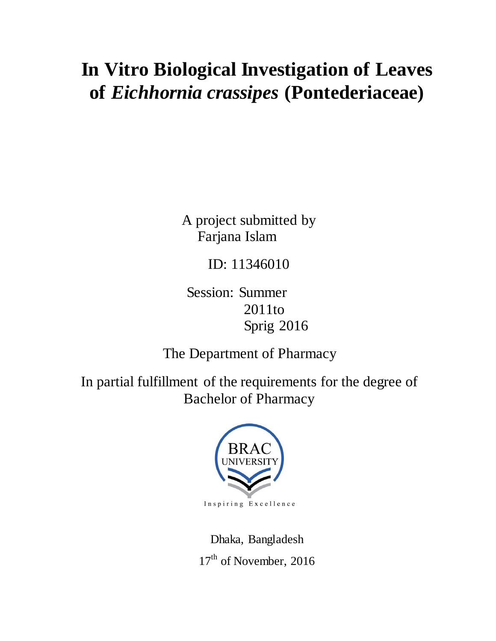# **In Vitro Biological Investigation of Leaves of** *Eichhornia crassipes* **(Pontederiaceae)**

A project submitted by Farjana Islam

ID: 11346010

Session: Summer 2011to Sprig 2016

The Department of Pharmacy

In partial fulfillment of the requirements for the degree of Bachelor of Pharmacy



Dhaka, Bangladesh 17<sup>th</sup> of November, 2016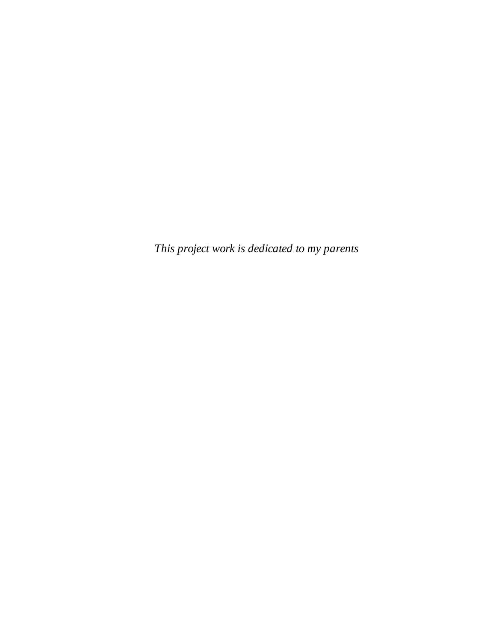*This project work is dedicated to my parents*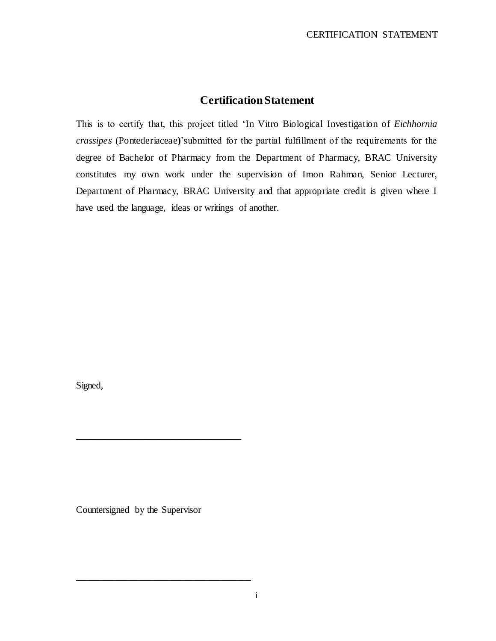# **Certification Statement**

This is to certify that, this project titled "In Vitro Biological Investigation of *Eichhornia crassipes* (Pontederiaceae**)**"submitted for the partial fulfillment of the requirements for the degree of Bachelor of Pharmacy from the Department of Pharmacy, BRAC University constitutes my own work under the supervision of Imon Rahman, Senior Lecturer, Department of Pharmacy, BRAC University and that appropriate credit is given where I have used the language, ideas or writings of another.

Signed,

Countersigned by the Supervisor

\_\_\_\_\_\_\_\_\_\_\_\_\_\_\_\_\_\_\_\_\_\_\_\_\_\_\_\_\_\_\_\_\_\_

\_\_\_\_\_\_\_\_\_\_\_\_\_\_\_\_\_\_\_\_\_\_\_\_\_\_\_\_\_\_\_\_\_\_\_\_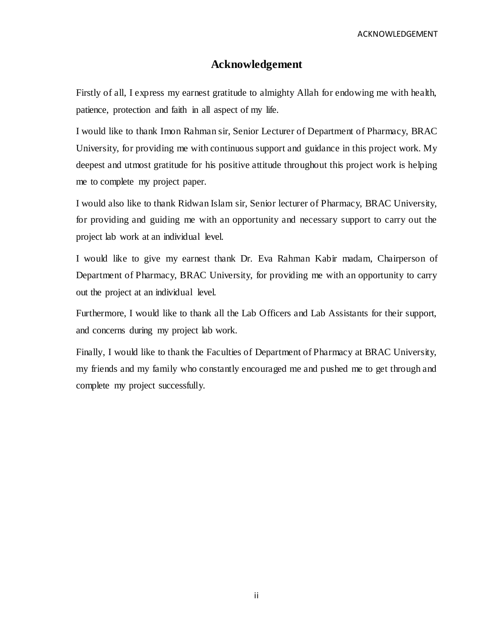ACKNOWLEDGEMENT

# **Acknowledgement**

Firstly of all, I express my earnest gratitude to almighty Allah for endowing me with health, patience, protection and faith in all aspect of my life.

I would like to thank Imon Rahman sir, Senior Lecturer of Department of Pharmacy, BRAC University, for providing me with continuous support and guidance in this project work. My deepest and utmost gratitude for his positive attitude throughout this project work is helping me to complete my project paper.

I would also like to thank Ridwan Islam sir, Senior lecturer of Pharmacy, BRAC University, for providing and guiding me with an opportunity and necessary support to carry out the project lab work at an individual level.

I would like to give my earnest thank Dr. Eva Rahman Kabir madam, Chairperson of Department of Pharmacy, BRAC University, for providing me with an opportunity to carry out the project at an individual level.

Furthermore, I would like to thank all the Lab Officers and Lab Assistants for their support, and concerns during my project lab work.

Finally, I would like to thank the Faculties of Department of Pharmacy at BRAC University, my friends and my family who constantly encouraged me and pushed me to get through and complete my project successfully.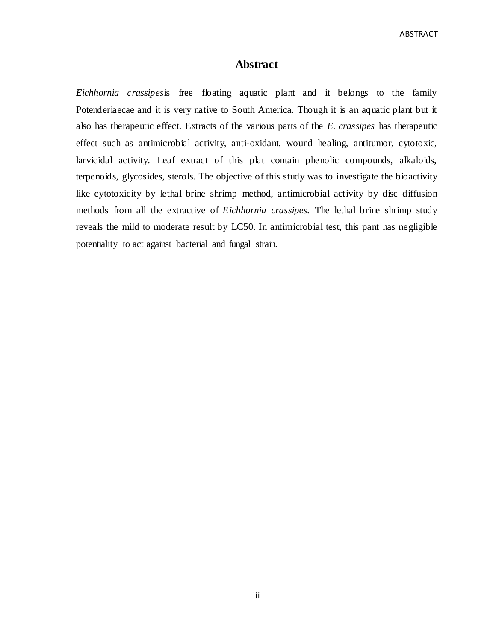**ABSTRACT** 

# **Abstract**

*Eichhornia crassipes*is free floating aquatic plant and it belongs to the family Potenderiaecae and it is very native to South America. Though it is an aquatic plant but it also has therapeutic effect. Extracts of the various parts of the *E. crassipes* has therapeutic effect such as antimicrobial activity, anti-oxidant, wound healing, antitumor, cytotoxic, larvicidal activity. Leaf extract of this plat contain phenolic compounds, alkaloids, terpenoids, glycosides, sterols. The objective of this study was to investigate the bioactivity like cytotoxicity by lethal brine shrimp method, antimicrobial activity by disc diffusion methods from all the extractive of *Eichhornia crassipes*. The lethal brine shrimp study reveals the mild to moderate result by LC50. In antimicrobial test, this pant has negligible potentiality to act against bacterial and fungal strain.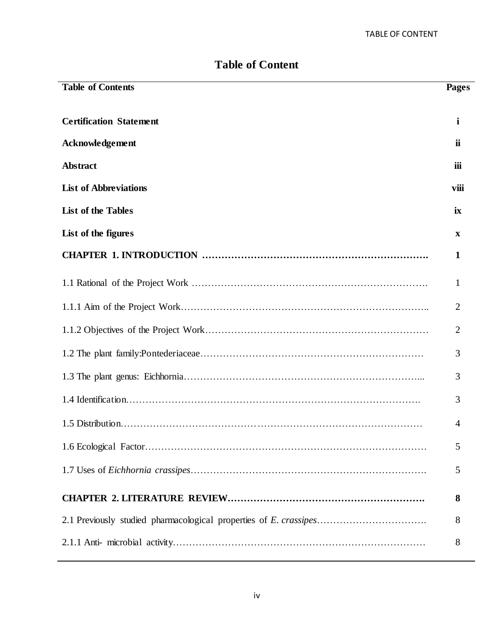| <b>Table of Contents</b>       | Pages          |
|--------------------------------|----------------|
|                                |                |
| <b>Certification Statement</b> | i              |
| Acknowledgement                | ii             |
| Abstract                       | iii            |
| <b>List of Abbreviations</b>   | viii           |
| <b>List of the Tables</b>      | ix             |
| List of the figures            | X              |
|                                | 1              |
|                                | 1              |
|                                | 2              |
|                                | 2              |
|                                | 3              |
|                                | 3              |
|                                | 3              |
|                                | $\overline{4}$ |
|                                | 5              |
|                                | 5              |
|                                | 8              |
|                                | 8              |
|                                | 8              |

# **Table of Content**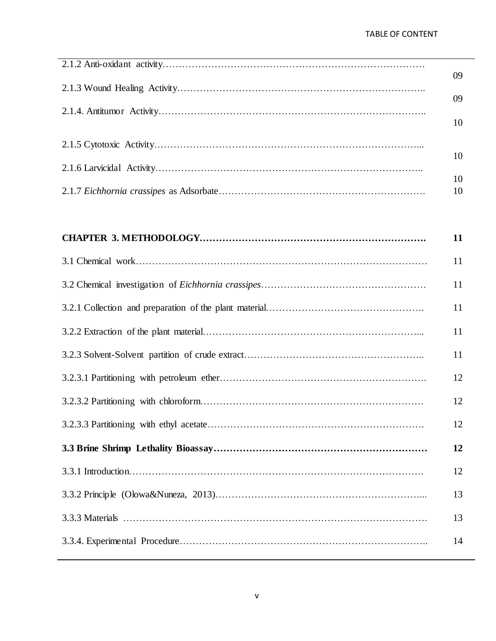| 09. |
|-----|
| 09  |
| 10  |
|     |
| 10  |
| 10  |
| 10  |

| 11 |
|----|
| 11 |
| 11 |
| 11 |
| 11 |
| 11 |
| 12 |
| 12 |
| 12 |
| 12 |
| 12 |
| 13 |
| 13 |
| 14 |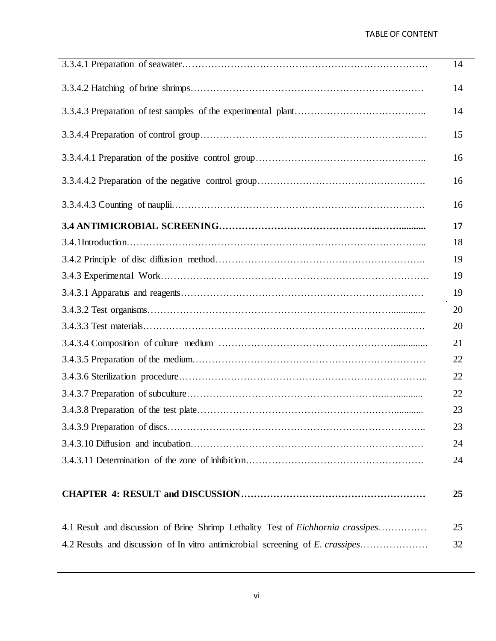|                                                                                         | 14 |
|-----------------------------------------------------------------------------------------|----|
|                                                                                         | 14 |
|                                                                                         | 14 |
|                                                                                         | 15 |
|                                                                                         | 16 |
|                                                                                         | 16 |
|                                                                                         | 16 |
|                                                                                         | 17 |
|                                                                                         | 18 |
|                                                                                         | 19 |
|                                                                                         | 19 |
|                                                                                         | 19 |
|                                                                                         | 20 |
|                                                                                         | 20 |
|                                                                                         | 21 |
|                                                                                         | 22 |
|                                                                                         | 22 |
|                                                                                         | 22 |
|                                                                                         | 23 |
|                                                                                         | 23 |
|                                                                                         | 24 |
|                                                                                         | 24 |
|                                                                                         |    |
|                                                                                         | 25 |
| 4.1 Result and discussion of Brine Shrimp Lethality Test of <i>Eichhornia crassipes</i> | 25 |
| 4.2 Results and discussion of In vitro antimicrobial screening of E. crassipes          | 32 |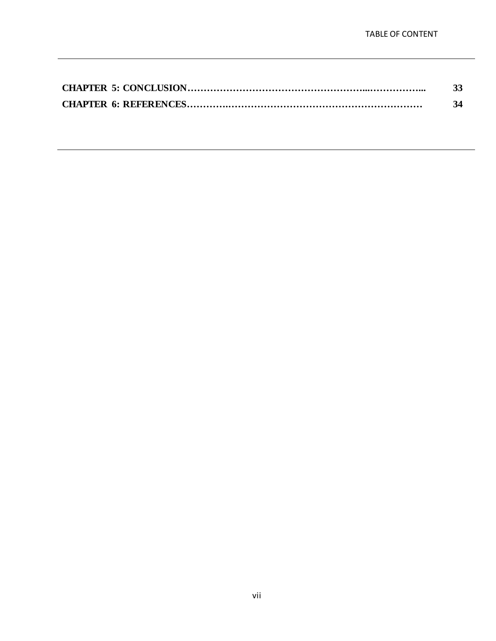| 33 |
|----|
| 34 |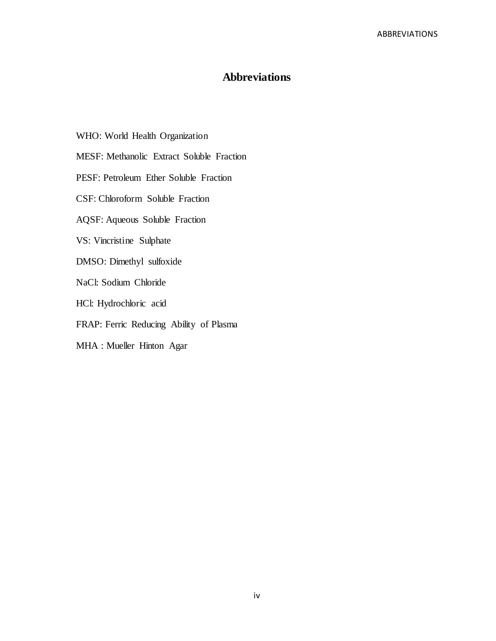# **Abbreviations**

- WHO: World Health Organization
- MESF: Methanolic Extract Soluble Fraction
- PESF: Petroleum Ether Soluble Fraction
- CSF: Chloroform Soluble Fraction
- AQSF: Aqueous Soluble Fraction
- VS: Vincristine Sulphate
- DMSO: Dimethyl sulfoxide
- NaCl: Sodium Chloride
- HCl: Hydrochloric acid
- FRAP: Ferric Reducing Ability of Plasma
- MHA : Mueller Hinton Agar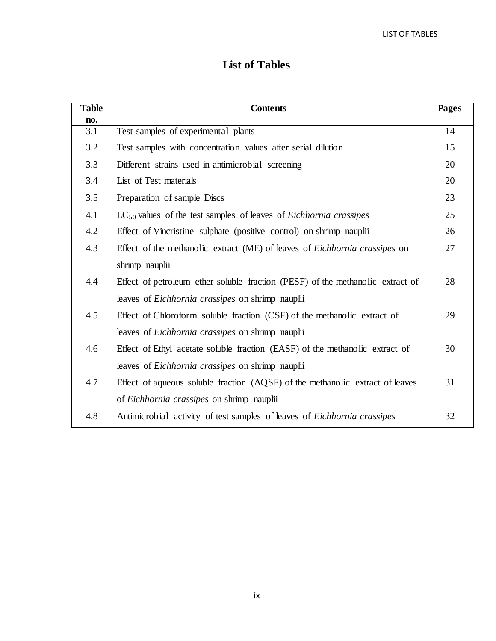# **List of Tables**

| <b>Table</b> | <b>Contents</b>                                                                   | <b>Pages</b> |
|--------------|-----------------------------------------------------------------------------------|--------------|
| no.          |                                                                                   |              |
| 3.1          | Test samples of experimental plants                                               | 14           |
| 3.2          | Test samples with concentration values after serial dilution                      | 15           |
| 3.3          | Different strains used in antimicrobial screening                                 | 20           |
| 3.4          | List of Test materials                                                            | 20           |
| 3.5          | Preparation of sample Discs                                                       | 23           |
| 4.1          | $LC_{50}$ values of the test samples of leaves of <i>Eichhornia crassipes</i>     | 25           |
| 4.2          | Effect of Vincristine sulphate (positive control) on shrimp nauplii               | 26           |
| 4.3          | Effect of the methanolic extract (ME) of leaves of <i>Eichhornia crassipes</i> on | 27           |
|              | shrimp nauplii                                                                    |              |
| 4.4          | Effect of petroleum ether soluble fraction (PESF) of the methanolic extract of    | 28           |
|              | leaves of <i>Eichhornia crassipes</i> on shrimp nauplii                           |              |
| 4.5          | Effect of Chloroform soluble fraction (CSF) of the methanolic extract of          | 29           |
|              | leaves of <i>Eichhornia crassipes</i> on shrimp nauplii                           |              |
| 4.6          | Effect of Ethyl acetate soluble fraction (EASF) of the methanolic extract of      | 30           |
|              | leaves of Eichhornia crassipes on shrimp nauplii                                  |              |
| 4.7          | Effect of aqueous soluble fraction (AQSF) of the methanolic extract of leaves     | 31           |
|              | of Eichhornia crassipes on shrimp nauplii                                         |              |
| 4.8          | Antimicrobial activity of test samples of leaves of <i>Eichhornia crassipes</i>   | 32           |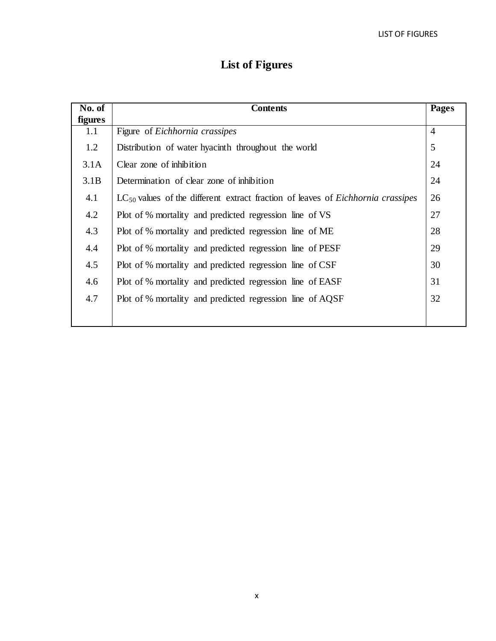# **List of Figures**

| No. of  | <b>Contents</b>                                                                             |                |
|---------|---------------------------------------------------------------------------------------------|----------------|
| figures |                                                                                             |                |
| 1.1     | Figure of Eichhornia crassipes                                                              | $\overline{4}$ |
| 1.2     | Distribution of water hyacinth throughout the world                                         | 5              |
| 3.1A    | Clear zone of inhibition                                                                    | 24             |
| 3.1B    | Determination of clear zone of inhibition                                                   | 24             |
| 4.1     | $LC_{50}$ values of the different extract fraction of leaves of <i>Eichhornia crassipes</i> | 26             |
| 4.2     | Plot of % mortality and predicted regression line of VS                                     | 27             |
| 4.3     | Plot of % mortality and predicted regression line of ME                                     | 28             |
| 4.4     | Plot of % mortality and predicted regression line of PESF                                   | 29             |
| 4.5     | Plot of % mortality and predicted regression line of CSF                                    | 30             |
| 4.6     | Plot of % mortality and predicted regression line of EASF                                   | 31             |
| 4.7     | Plot of % mortality and predicted regression line of AQSF                                   | 32             |
|         |                                                                                             |                |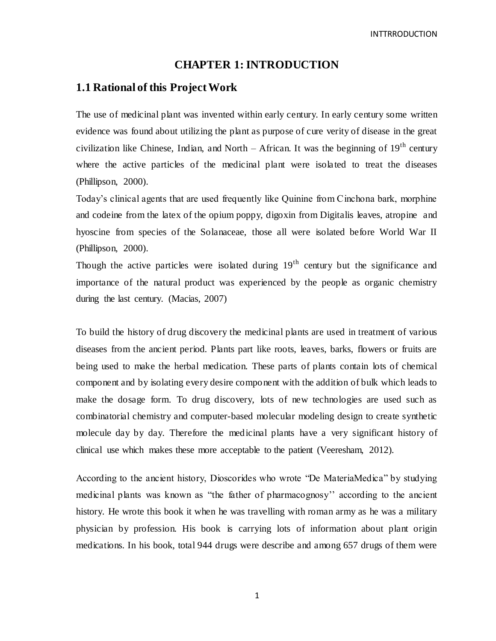# **CHAPTER 1: INTRODUCTION**

# **1.1 Rational of this Project Work**

The use of medicinal plant was invented within early century. In early century some written evidence was found about utilizing the plant as purpose of cure verity of disease in the great civilization like Chinese, Indian, and North – African. It was the beginning of  $19<sup>th</sup>$  century where the active particles of the medicinal plant were isolated to treat the diseases (Phillipson, 2000).

Today"s clinical agents that are used frequently like Quinine from Cinchona bark, morphine and codeine from the latex of the opium poppy, digoxin from Digitalis leaves, atropine and hyoscine from species of the Solanaceae, those all were isolated before World War II (Phillipson, 2000).

Though the active particles were isolated during  $19<sup>th</sup>$  century but the significance and importance of the natural product was experienced by the people as organic chemistry during the last century. (Macias, 2007)

To build the history of drug discovery the medicinal plants are used in treatment of various diseases from the ancient period. Plants part like roots, leaves, barks, flowers or fruits are being used to make the herbal medication. These parts of plants contain lots of chemical component and by isolating every desire component with the addition of bulk which leads to make the dosage form. To drug discovery, lots of new technologies are used such as combinatorial chemistry and computer-based molecular modeling design to create synthetic molecule day by day. Therefore the medicinal plants have a very significant history of clinical use which makes these more acceptable to the patient (Veeresham, 2012).

According to the ancient history, Dioscorides who wrote "De MateriaMedica" by studying medicinal plants was known as "the father of pharmacognosy"" according to the ancient history. He wrote this book it when he was travelling with roman army as he was a military physician by profession. His book is carrying lots of information about plant origin medications. In his book, total 944 drugs were describe and among 657 drugs of them were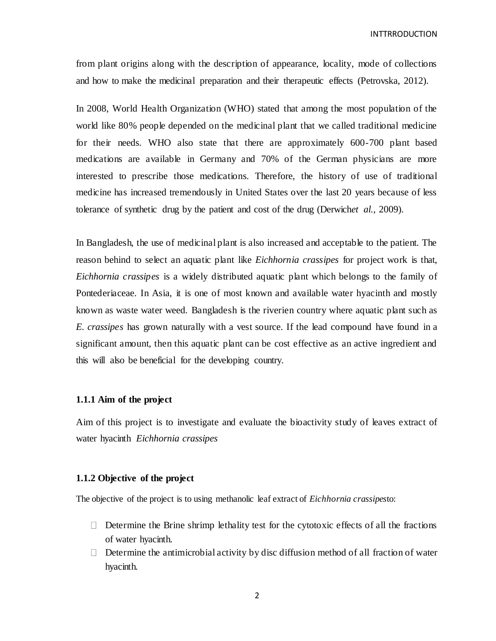from plant origins along with the description of appearance, locality, mode of collections and how to make the medicinal preparation and their therapeutic effects (Petrovska, 2012).

In 2008, World Health Organization (WHO) stated that among the most population of the world like 80% people depended on the medicinal plant that we called traditional medicine for their needs. WHO also state that there are approximately 600-700 plant based medications are available in Germany and 70% of the German physicians are more interested to prescribe those medications. Therefore, the history of use of traditional medicine has increased tremendously in United States over the last 20 years because of less tolerance of synthetic drug by the patient and cost of the drug (Derwich*et al.,* 2009).

In Bangladesh, the use of medicinal plant is also increased and acceptable to the patient. The reason behind to select an aquatic plant like *Eichhornia crassipes* for project work is that, *Eichhornia crassipes* is a widely distributed aquatic plant which belongs to the family of Pontederiaceae. In Asia, it is one of most known and available water hyacinth and mostly known as waste water weed. Bangladesh is the riverien country where aquatic plant such as *E. crassipes* has grown naturally with a vest source. If the lead compound have found in a significant amount, then this aquatic plant can be cost effective as an active ingredient and this will also be beneficial for the developing country.

### **1.1.1 Aim of the project**

Aim of this project is to investigate and evaluate the bioactivity study of leaves extract of water hyacinth *Eichhornia crassipes*

#### **1.1.2 Objective of the project**

The objective of the project is to using methanolic leaf extract of *Eichhornia crassipes*to:

- $\Box$  Determine the Brine shrimp lethality test for the cytotoxic effects of all the fractions of water hyacinth.
- $\Box$  Determine the antimicrobial activity by disc diffusion method of all fraction of water hyacinth.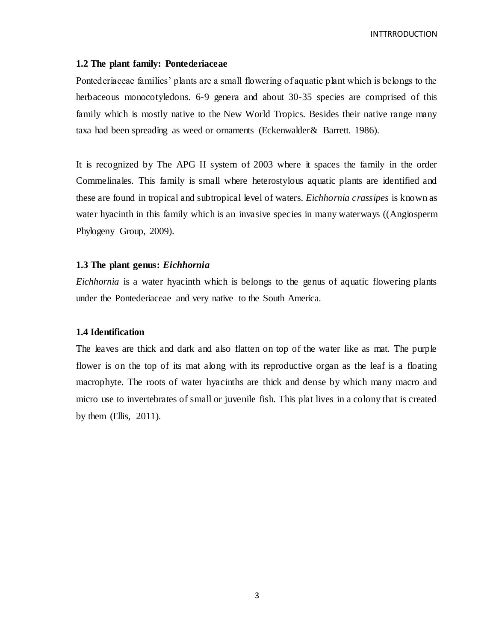#### **1.2 The plant family: Pontederiaceae**

Pontederiaceae families" plants are a small flowering of aquatic plant which is belongs to the herbaceous monocotyledons. 6-9 genera and about 30-35 species are comprised of this family which is mostly native to the New World Tropics. Besides their native range many taxa had been spreading as weed or ornaments (Eckenwalder& Barrett. 1986).

It is recognized by The [APG II system](https://en.wikipedia.org/wiki/APG_II_system) of 2003 where it spaces the family in the order [Commelinales.](https://en.wikipedia.org/wiki/Commelinales) This family is small where heterostylous aquatic plants are identified and these are found in [tropical](https://en.wikipedia.org/wiki/Tropics) and [subtropical](https://en.wikipedia.org/wiki/Subtropics) level of waters. *[Eichhornia](https://en.wikipedia.org/wiki/Eichhornia_crassipes) crassipes* is known as water hyacinth in this family which is an [invasive](https://en.wikipedia.org/wiki/Invasive_species) species in many waterways ((Angiosperm Phylogeny Group, 2009).

#### **1.3 The plant genus:** *Eichhornia*

*Eichhornia* is a water hyacinth which is belongs to the genus of aquatic flowering plants under the Pontederiaceae and very native to the South America.

#### **1.4 Identification**

The leaves are thick and dark and also flatten on top of the water like as mat. The purple flower is on the top of its mat along with its reproductive organ as the leaf is a floating macrophyte. The roots of water hyacinths are thick and dense by which many macro and micro use to invertebrates of small or juvenile fish. This plat lives in a colony that is created by them (Ellis,  $2011$ ).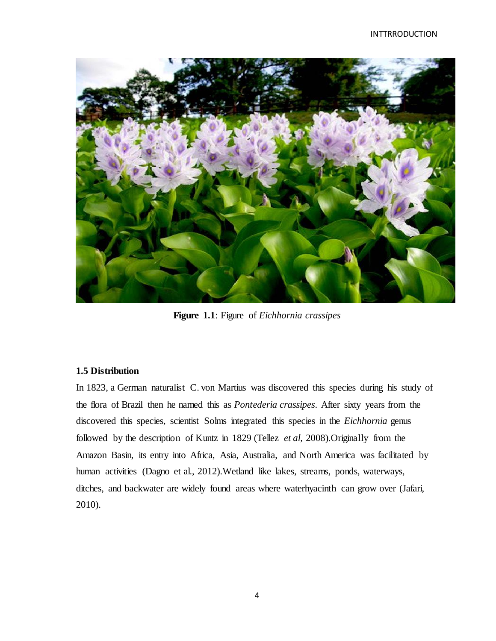

**Figure 1.1**: Figure of *Eichhornia crassipes*

# **1.5 Distribution**

In 1823, a German naturalist C. von Martius was discovered this species during his study of the flora of Brazil then he named this as *Pontederia crassipes*. After sixty years from the discovered this species, scientist Solms integrated this species in the *Eichhornia* genus followed by the description of Kuntz in 1829 (Tellez *et al,* 2008).Originally from the Amazon Basin, its entry into Africa, Asia, Australia, and North America was facilitated by human activities (Dagno et al., 2012).Wetland like lakes, streams, ponds, waterways, ditches, and backwater are widely found areas where waterhyacinth can grow over (Jafari, 2010).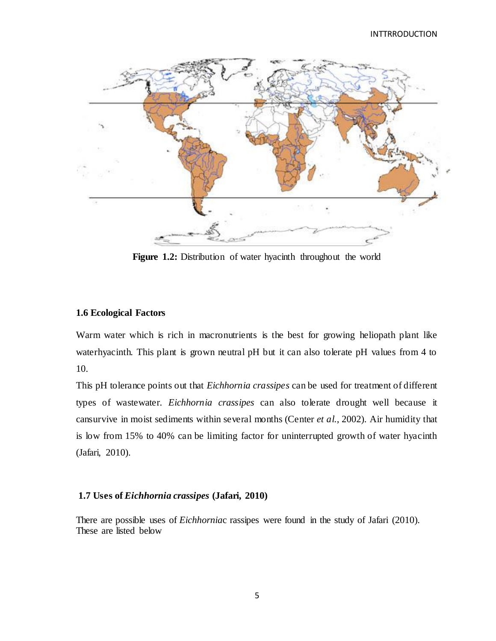

**Figure 1.2:** Distribution of water hyacinth throughout the world

## **1.6 Ecological Factors**

Warm water which is rich in macronutrients is the best for growing heliopath plant like waterhyacinth. This plant is grown neutral pH but it can also tolerate pH values from 4 to 10.

This pH tolerance points out that *Eichhornia crassipes* can be used for treatment of different types of wastewater. *Eichhornia crassipes* can also tolerate drought well because it cansurvive in moist sediments within several months (Center *et al.*, 2002). Air humidity that is low from 15% to 40% can be limiting factor for uninterrupted growth of water hyacinth (Jafari, 2010).

#### **1.7 Uses of** *Eichhornia crassipes* **(Jafari, 2010)**

There are possible uses of *Eichhornia*c rassipes were found in the study of Jafari (2010). These are listed below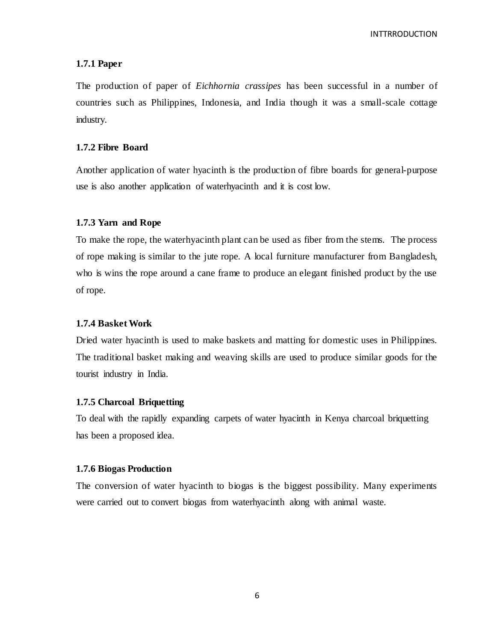#### **1.7.1 Paper**

The production of paper of *Eichhornia crassipes* has been successful in a number of countries such as Philippines, Indonesia, and India though it was a small-scale cottage industry.

#### **1.7.2 Fibre Board**

Another application of water hyacinth is the production of fibre boards for general-purpose use is also another application of waterhyacinth and it is cost low.

#### **1.7.3 Yarn and Rope**

To make the rope, the waterhyacinth plant can be used as fiber from the stems. The process of rope making is similar to the jute rope. A local furniture manufacturer from Bangladesh, who is wins the rope around a cane frame to produce an elegant finished product by the use of rope.

#### **1.7.4 Basket Work**

Dried water hyacinth is used to make baskets and matting for domestic uses in Philippines. The traditional basket making and weaving skills are used to produce similar goods for the tourist industry in India.

#### **1.7.5 Charcoal Briquetting**

To deal with the rapidly expanding carpets of water hyacinth in Kenya charcoal briquetting has been a proposed idea.

#### **1.7.6 Biogas Production**

The conversion of water hyacinth to biogas is the biggest possibility. Many experiments were carried out to convert biogas from waterhyacinth along with animal waste.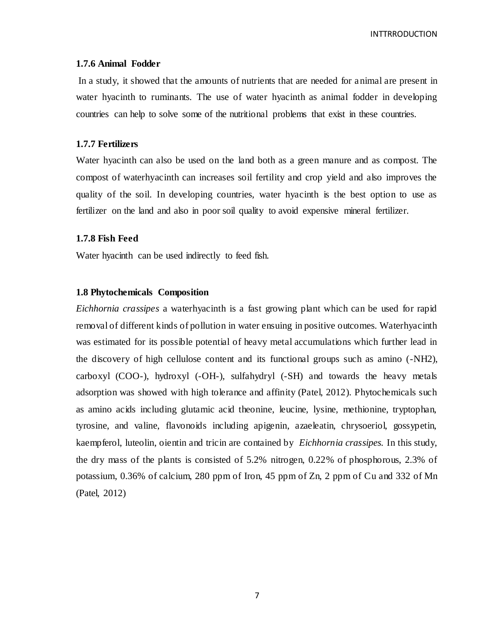#### **1.7.6 Animal Fodder**

In a study, it showed that the amounts of nutrients that are needed for animal are present in water hyacinth to ruminants. The use of water hyacinth as animal fodder in developing countries can help to solve some of the nutritional problems that exist in these countries.

#### **1.7.7 Fertilizers**

Water hyacinth can also be used on the land both as a green manure and as compost. The compost of waterhyacinth can increases soil fertility and crop yield and also improves the quality of the soil. In developing countries, water hyacinth is the best option to use as fertilizer on the land and also in poor soil quality to avoid expensive mineral fertilizer.

#### **1.7.8 Fish Feed**

Water hyacinth can be used indirectly to feed fish.

#### **1.8 Phytochemicals Composition**

*Eichhornia crassipes* a waterhyacinth is a fast growing plant which can be used for rapid removal of different kinds of pollution in water ensuing in positive outcomes. Waterhyacinth was estimated for its possible potential of heavy metal accumulations which further lead in the discovery of high cellulose content and its functional groups such as amino (-NH2), carboxyl (COO-), hydroxyl (-OH-), sulfahydryl (-SH) and towards the heavy metals adsorption was showed with high tolerance and affinity (Patel, 2012). Phytochemicals such as amino acids including glutamic acid theonine, leucine, lysine, methionine, tryptophan, tyrosine, and valine, flavonoids including apigenin, azaeleatin, chrysoeriol, gossypetin, kaempferol, luteolin, oientin and tricin are contained by *Eichhornia crassipes.* In this study, the dry mass of the plants is consisted of 5.2% nitrogen, 0.22% of phosphorous, 2.3% of potassium, 0.36% of calcium, 280 ppm of Iron, 45 ppm of Zn, 2 ppm of Cu and 332 of Mn (Patel, 2012)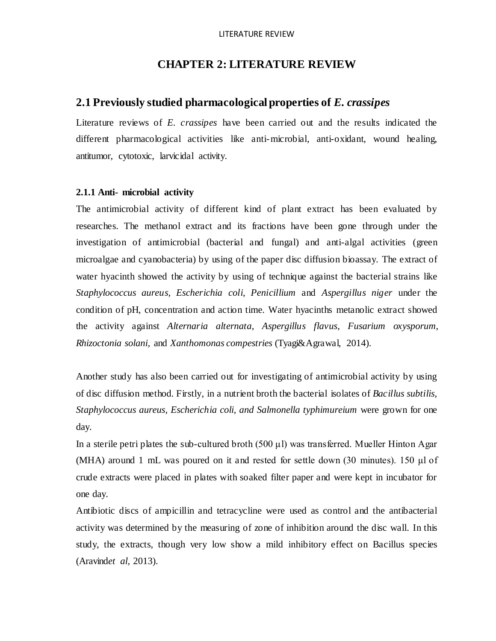# **CHAPTER 2: LITERATURE REVIEW**

# **2.1 Previously studied pharmacological properties of** *E. crassipes*

Literature reviews of *E. crassipes* have been carried out and the results indicated the different pharmacological activities like anti-microbial, anti-oxidant, wound healing, antitumor, cytotoxic, larvicidal activity.

#### **2.1.1 Anti- microbial activity**

The antimicrobial activity of different kind of plant extract has been evaluated by researches. The methanol extract and its fractions have been gone through under the investigation of antimicrobial (bacterial and fungal) and anti-algal activities (green microalgae and cyanobacteria) by using of the paper disc diffusion bioassay. The extract of water hyacinth showed the activity by using of technique against the bacterial strains like *Staphylococcus aureus, Escherichia coli, Penicillium* and *Aspergillus niger* under the condition of pH, concentration and action time. Water hyacinths metanolic extract showed the activity against *Alternaria alternata*, *Aspergillus flavus*, *Fusarium oxysporum*, *Rhizoctonia solani*, and *Xanthomonas compestries* (Tyagi&Agrawal, 2014).

Another study has also been carried out for investigating of antimicrobial activity by using of disc diffusion method. Firstly, in a nutrient broth the bacterial isolates of *Bacillus subtilis, Staphylococcus aureus, Escherichia coli, and Salmonella typhimureium* were grown for one day.

In a sterile petri plates the sub-cultured broth (500 μl) was transferred. Mueller Hinton Agar (MHA) around 1 mL was poured on it and rested for settle down (30 minutes). 150 μl of crude extracts were placed in plates with soaked filter paper and were kept in incubator for one day.

Antibiotic discs of ampicillin and tetracycline were used as control and the antibacterial activity was determined by the measuring of zone of inhibition around the disc wall. In this study, the extracts, though very low show a mild inhibitory effect on Bacillus species (Aravind*et al,* 2013).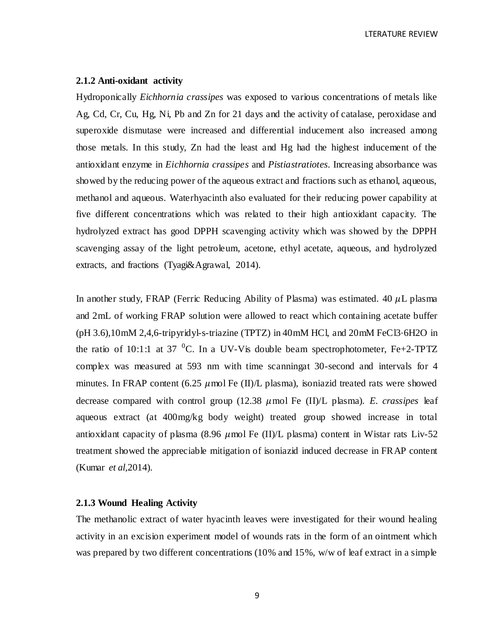LTERATURE REVIEW

#### **2.1.2 Anti-oxidant activity**

Hydroponically *Eichhornia crassipes* was exposed to various concentrations of metals like Ag, Cd, Cr, Cu, Hg, Ni, Pb and Zn for 21 days and the activity of catalase, peroxidase and superoxide dismutase were increased and differential inducement also increased among those metals. In this study, Zn had the least and Hg had the highest inducement of the antioxidant enzyme in *Eichhornia crassipes* and *Pistiastratiotes*. Increasing absorbance was showed by the reducing power of the aqueous extract and fractions such as ethanol, aqueous, methanol and aqueous. Waterhyacinth also evaluated for their reducing power capability at five different concentrations which was related to their high antioxidant capacity. The hydrolyzed extract has good DPPH scavenging activity which was showed by the DPPH scavenging assay of the light petroleum, acetone, ethyl acetate, aqueous, and hydrolyzed extracts, and fractions (Tyagi&Agrawal, 2014).

In another study, FRAP (Ferric Reducing Ability of Plasma) was estimated.  $40 \mu L$  plasma and 2mL of working FRAP solution were allowed to react which containing acetate buffer (pH 3.6),10mM 2,4,6-tripyridyl-s-triazine (TPTZ) in 40mM HCl, and 20mM FeCl3⋅6H2O in the ratio of 10:1:1 at 37 <sup>0</sup>C. In a UV-V is double beam spectrophotometer, Fe+2-TPTZ complex was measured at 593 nm with time scanningat 30-second and intervals for 4 minutes. In FRAP content (6.25  $\mu$  mol Fe (II)/L plasma), isoniazid treated rats were showed decrease compared with control group  $(12.38 \mu \text{mol} \text{Fe} (II)/L \text{ plasma})$ . *E. crassipes* leaf aqueous extract (at 400mg/kg body weight) treated group showed increase in total antioxidant capacity of plasma (8.96  $\mu$ mol Fe (II)/L plasma) content in Wistar rats Liv-52 treatment showed the appreciable mitigation of isoniazid induced decrease in FRAP content (Kumar *et al,*2014).

## **2.1.3 Wound Healing Activity**

The methanolic extract of water hyacinth leaves were investigated for their wound healing activity in an excision experiment model of wounds rats in the form of an ointment which was prepared by two different concentrations (10% and 15%, w/w of leaf extract in a simple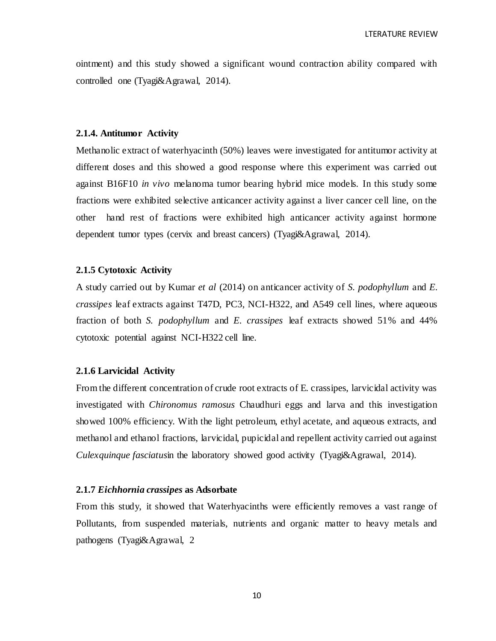ointment) and this study showed a significant wound contraction ability compared with controlled one (Tyagi&Agrawal, 2014).

#### **2.1.4. Antitumor Activity**

Methanolic extract of waterhyacinth (50%) leaves were investigated for antitumor activity at different doses and this showed a good response where this experiment was carried out against B16F10 *in vivo* melanoma tumor bearing hybrid mice models. In this study some fractions were exhibited selective anticancer activity against a liver cancer cell line, on the other hand rest of fractions were exhibited high anticancer activity against hormone dependent tumor types (cervix and breast cancers) (Tyagi&Agrawal, 2014).

#### **2.1.5 Cytotoxic Activity**

A study carried out by Kumar *et al* (2014) on anticancer activity of *S. podophyllum* and *E. crassipes* leaf extracts against T47D, PC3, NCI-H322, and A549 cell lines, where aqueous fraction of both *S. podophyllum* and *E. crassipes* leaf extracts showed 51% and 44% cytotoxic potential against NCI-H322 cell line.

#### **2.1.6 Larvicidal Activity**

From the different concentration of crude root extracts of E. crassipes, larvicidal activity was investigated with *Chironomus ramosus* Chaudhuri eggs and larva and this investigation showed 100% efficiency. With the light petroleum, ethyl acetate, and aqueous extracts, and methanol and ethanol fractions, larvicidal, pupicidal and repellent activity carried out against *Culexquinque fasciatus*in the laboratory showed good activity (Tyagi&Agrawal, 2014).

#### **2.1.7** *Eichhornia crassipes* **as Adsorbate**

From this study, it showed that Waterhyacinths were efficiently removes a vast range of Pollutants, from suspended materials, nutrients and organic matter to heavy metals and pathogens (Tyagi&Agrawal, 2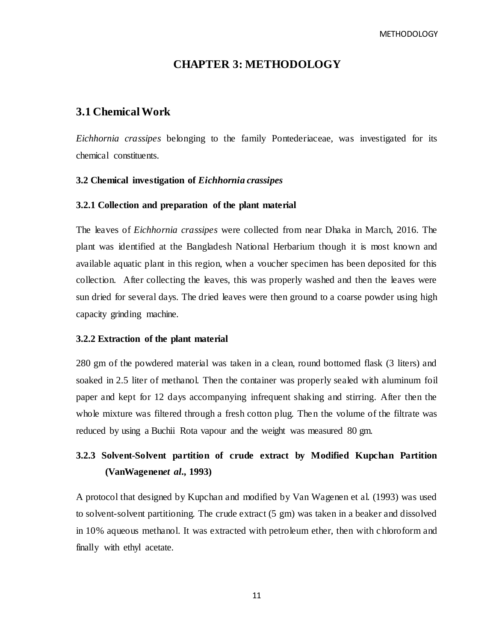# **CHAPTER 3: METHODOLOGY**

# **3.1 Chemical Work**

*Eichhornia crassipes* belonging to the family Pontederiaceae, was investigated for its chemical constituents.

# **3.2 Chemical investigation of** *Eichhornia crassipes*

#### **3.2.1 Collection and preparation of the plant material**

The leaves of *Eichhornia crassipes* were collected from near Dhaka in March, 2016. The plant was identified at the Bangladesh National Herbarium though it is most known and available aquatic plant in this region, when a voucher specimen has been deposited for this collection. After collecting the leaves, this was properly washed and then the leaves were sun dried for several days. The dried leaves were then ground to a coarse powder using high capacity grinding machine.

#### **3.2.2 Extraction of the plant material**

280 gm of the powdered material was taken in a clean, round bottomed flask (3 liters) and soaked in 2.5 liter of methanol. Then the container was properly sealed with aluminum foil paper and kept for 12 days accompanying infrequent shaking and stirring. After then the whole mixture was filtered through a fresh cotton plug. Then the volume of the filtrate was reduced by using a Buchii Rota vapour and the weight was measured 80 gm.

# **3.2.3 Solvent-Solvent partition of crude extract by Modified Kupchan Partition (VanWagenen***et al.,* **1993)**

A protocol that designed by Kupchan and modified by Van Wagenen et al. (1993) was used to solvent-solvent partitioning. The crude extract (5 gm) was taken in a beaker and dissolved in 10% aqueous methanol. It was extracted with petroleum ether, then with c hloroform and finally with ethyl acetate.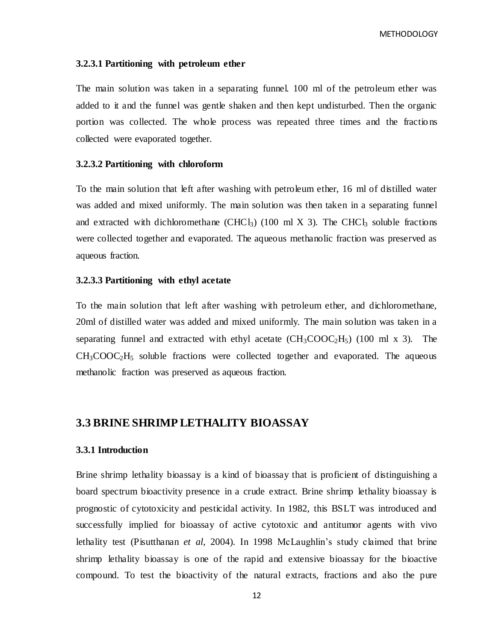#### **3.2.3.1 Partitioning with petroleum ether**

The main solution was taken in a separating funnel. 100 ml of the petroleum ether was added to it and the funnel was gentle shaken and then kept undisturbed. Then the organic portion was collected. The whole process was repeated three times and the fractio ns collected were evaporated together.

#### **3.2.3.2 Partitioning with chloroform**

To the main solution that left after washing with petroleum ether, 16 ml of distilled water was added and mixed uniformly. The main solution was then taken in a separating funnel and extracted with dichloromethane (CHCl<sub>3</sub>) (100 ml X 3). The CHCl<sub>3</sub> soluble fractions were collected together and evaporated. The aqueous methanolic fraction was preserved as aqueous fraction.

#### **3.2.3.3 Partitioning with ethyl acetate**

To the main solution that left after washing with petroleum ether, and dichloromethane, 20ml of distilled water was added and mixed uniformly. The main solution was taken in a separating funnel and extracted with ethyl acetate  $CH_3COOC_2H_5$ ) (100 ml x 3). The  $CH<sub>3</sub>COOC<sub>2</sub>H<sub>5</sub>$  soluble fractions were collected together and evaporated. The aqueous methanolic fraction was preserved as aqueous fraction.

# **3.3 BRINE SHRIMP LETHALITY BIOASSAY**

#### **3.3.1 Introduction**

Brine shrimp lethality bioassay is a kind of bioassay that is proficient of distinguishing a board spectrum bioactivity presence in a crude extract. Brine shrimp lethality bioassay is prognostic of cytotoxicity and pesticidal activity. In 1982, this BSLT was introduced and successfully implied for bioassay of active cytotoxic and antitumor agents with vivo lethality test (Pisutthanan *et al*, 2004). In 1998 McLaughlin's study claimed that brine shrimp lethality bioassay is one of the rapid and extensive bioassay for the bioactive compound. To test the bioactivity of the natural extracts, fractions and also the pure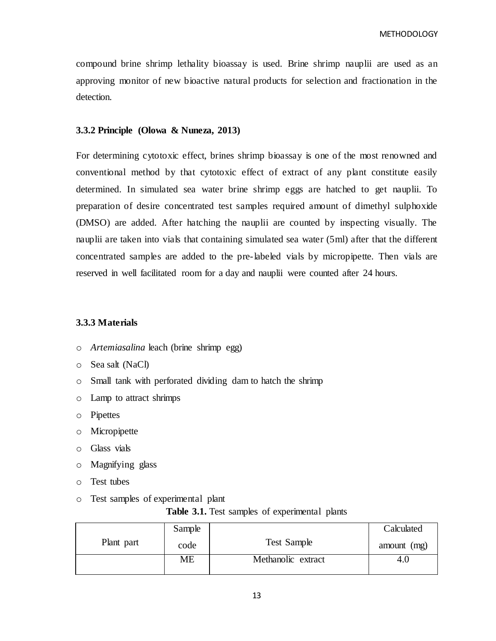compound brine shrimp lethality bioassay is used. Brine shrimp nauplii are used as an approving monitor of new bioactive natural products for selection and fractionation in the detection.

#### **3.3.2 Principle (Olowa & Nuneza, 2013)**

For determining cytotoxic effect, brines shrimp bioassay is one of the most renowned and conventional method by that cytotoxic effect of extract of any plant constitute easily determined. In simulated sea water brine shrimp eggs are hatched to get nauplii. To preparation of desire concentrated test samples required amount of dimethyl sulphoxide (DMSO) are added. After hatching the nauplii are counted by inspecting visually. The nauplii are taken into vials that containing simulated sea water (5ml) after that the different concentrated samples are added to the pre-labeled vials by micropipette. Then vials are reserved in well facilitated room for a day and nauplii were counted after 24 hours.

### **3.3.3 Materials**

- o *Artemiasalina* leach (brine shrimp egg)
- o Sea salt (NaCl)
- o Small tank with perforated dividing dam to hatch the shrimp
- o Lamp to attract shrimps
- o Pipettes
- o Micropipette
- o Glass vials
- o Magnifying glass
- o Test tubes
- o Test samples of experimental plant

**Table 3.1.** Test samples of experimental plants

|            | Sample |                    | Calculated  |
|------------|--------|--------------------|-------------|
| Plant part | code   | <b>Test Sample</b> | amount (mg) |
|            | МE     | Methanolic extract | 4.U         |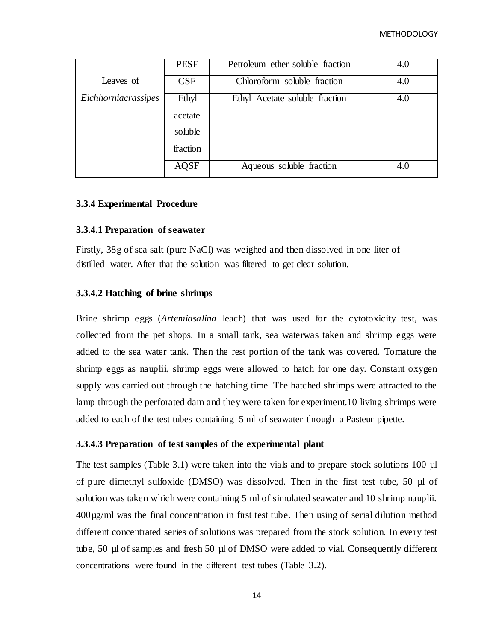|                     | <b>PESF</b> | Petroleum ether soluble fraction   | 4.0 |
|---------------------|-------------|------------------------------------|-----|
| Leaves of           | <b>CSF</b>  | Chloroform soluble fraction<br>4.0 |     |
| Eichhorniacrassipes | Ethyl       | Ethyl Acetate soluble fraction     | 4.0 |
|                     | acetate     |                                    |     |
|                     | soluble     |                                    |     |
|                     | fraction    |                                    |     |
|                     | AQSF        | Aqueous soluble fraction           | 4.0 |

### **3.3.4 Experimental Procedure**

### **3.3.4.1 Preparation of seawater**

Firstly, 38g of sea salt (pure NaCl) was weighed and then dissolved in one liter of distilled water. After that the solution was filtered to get clear solution.

### **3.3.4.2 Hatching of brine shrimps**

Brine shrimp eggs (*Artemiasalina* leach) that was used for the cytotoxicity test, was collected from the pet shops. In a small tank, sea waterwas taken and shrimp eggs were added to the sea water tank. Then the rest portion of the tank was covered. Tomature the shrimp eggs as nauplii, shrimp eggs were allowed to hatch for one day. Constant oxygen supply was carried out through the hatching time. The hatched shrimps were attracted to the lamp through the perforated dam and they were taken for experiment.10 living shrimps were added to each of the test tubes containing 5 ml of seawater through a Pasteur pipette.

#### **3.3.4.3 Preparation of test samples of the experimental plant**

The test samples (Table 3.1) were taken into the vials and to prepare stock solutions 100 µl of pure dimethyl sulfoxide (DMSO) was dissolved. Then in the first test tube, 50 µl of solution was taken which were containing 5 ml of simulated seawater and 10 shrimp nauplii. 400µg/ml was the final concentration in first test tube. Then using of serial dilution method different concentrated series of solutions was prepared from the stock solution. In every test tube, 50 µl of samples and fresh 50 µl of DMSO were added to vial. Consequently different concentrations were found in the different test tubes (Table 3.2).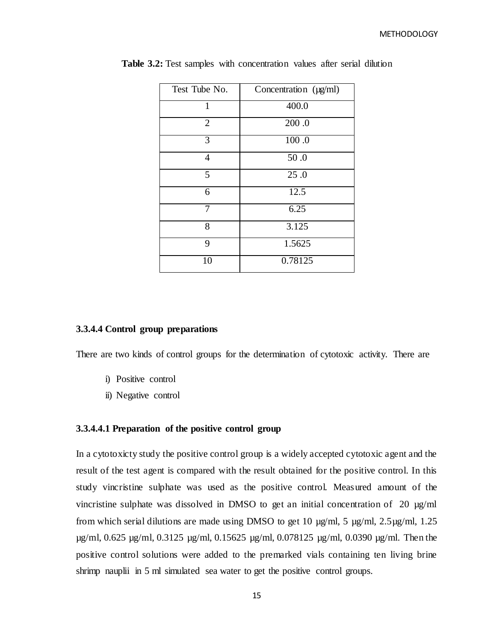| Test Tube No.  | Concentration (µg/ml) |
|----------------|-----------------------|
| 1              | 400.0                 |
| $\overline{2}$ | 200.0                 |
| 3              | 100.0                 |
| $\overline{4}$ | 50.0                  |
| 5              | 25.0                  |
| 6              | 12.5                  |
| 7              | 6.25                  |
| 8              | 3.125                 |
| 9              | 1.5625                |
| 10             | 0.78125               |

**Table 3.2:** Test samples with concentration values after serial dilution

#### **3.3.4.4 Control group preparations**

There are two kinds of control groups for the determination of cytotoxic activity. There are

- i) Positive control
- ii) Negative control

#### **3.3.4.4.1 Preparation of the positive control group**

In a cytotoxicty study the positive control group is a widely accepted cytotoxic agent and the result of the test agent is compared with the result obtained for the positive control. In this study vincristine sulphate was used as the positive control. Measured amount of the vincristine sulphate was dissolved in DMSO to get an initial concentration of 20  $\mu$ g/ml from which serial dilutions are made using DMSO to get 10  $\mu$ g/ml, 5  $\mu$ g/ml, 2.5 $\mu$ g/ml, 1.25 µg/ml, 0.625 µg/ml, 0.3125 µg/ml, 0.15625 µg/ml, 0.078125 µg/ml, 0.0390 µg/ml. Then the positive control solutions were added to the premarked vials containing ten living brine shrimp nauplii in 5 ml simulated sea water to get the positive control groups.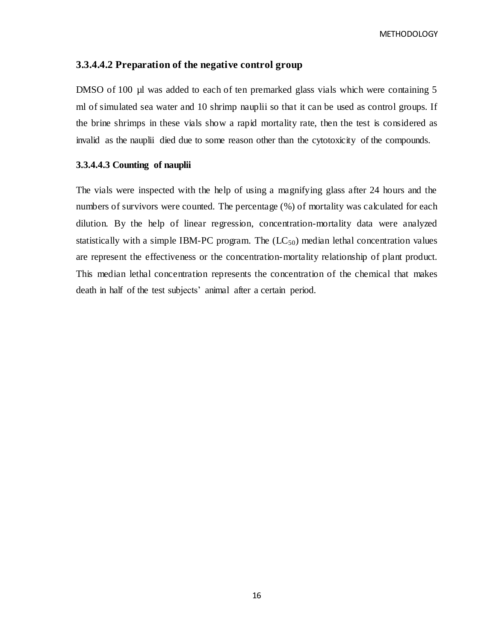### **3.3.4.4.2 Preparation of the negative control group**

DMSO of 100 µl was added to each of ten premarked glass vials which were containing 5 ml of simulated sea water and 10 shrimp nauplii so that it can be used as control groups. If the brine shrimps in these vials show a rapid mortality rate, then the test is considered as invalid as the nauplii died due to some reason other than the cytotoxicity of the compounds.

# **3.3.4.4.3 Counting of nauplii**

The vials were inspected with the help of using a magnifying glass after 24 hours and the numbers of survivors were counted. The percentage (%) of mortality was calculated for each dilution. By the help of linear regression, concentration-mortality data were analyzed statistically with a simple IBM-PC program. The  $(IC_{50})$  median lethal concentration values are represent the effectiveness or the concentration-mortality relationship of plant product. This median lethal concentration represents the concentration of the chemical that makes death in half of the test subjects' animal after a certain period.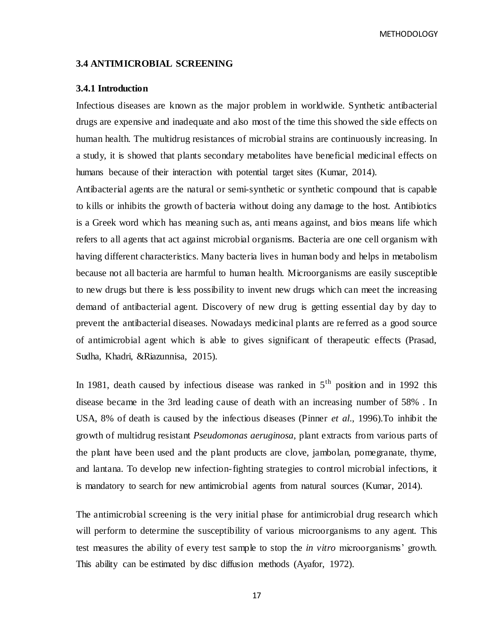#### **3.4 ANTIMICROBIAL SCREENING**

#### **3.4.1 Introduction**

Infectious diseases are known as the major problem in worldwide. Synthetic antibacterial drugs are expensive and inadequate and also most of the time this showed the side effects on human health. The multidrug resistances of microbial strains are continuously increasing. In a study, it is showed that plants secondary metabolites have beneficial medicinal effects on humans because of their interaction with potential target sites (Kumar, 2014).

Antibacterial agents are the natural or semi-synthetic or synthetic compound that is capable to kills or inhibits the growth of bacteria without doing any damage to the host. Antibiotics is a Greek word which has meaning such as, anti means against, and bios means life which refers to all agents that act against microbial organisms. Bacteria are one cell organism with having different characteristics. Many bacteria lives in human body and helps in metabolism because not all bacteria are harmful to human health. Microorganisms are easily susceptible to new drugs but there is less possibility to invent new drugs which can meet the increasing demand of antibacterial agent. Discovery of new drug is getting essential day by day to prevent the antibacterial diseases. Nowadays medicinal plants are re ferred as a good source of antimicrobial agent which is able to gives significant of therapeutic effects (Prasad, Sudha, Khadri, &Riazunnisa, 2015).

In 1981, death caused by infectious disease was ranked in  $5<sup>th</sup>$  position and in 1992 this disease became in the 3rd leading cause of death with an increasing number of 58% . In USA, 8% of death is caused by the infectious diseases (Pinner *et al*., 1996).To inhibit the growth of multidrug resistant *Pseudomonas aeruginosa,* plant extracts from various parts of the plant have been used and the plant products are clove, jambolan, pomegranate, thyme, and lantana. To develop new infection-fighting strategies to control microbial infections, it is mandatory to search for new antimicrobial agents from natural sources (Kumar, 2014).

The antimicrobial screening is the very initial phase for antimicrobial drug research which will perform to determine the susceptibility of various microorganisms to any agent. This test measures the ability of every test sample to stop the *in vitro* microorganisms" growth. This ability can be estimated by disc diffusion methods (Ayafor, 1972).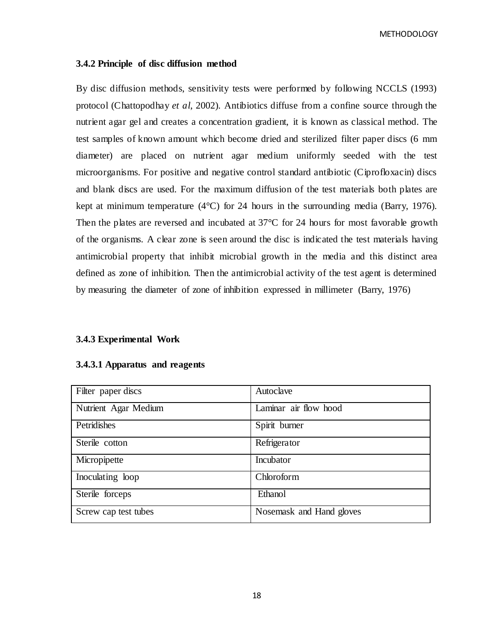#### **3.4.2 Principle of disc diffusion method**

By disc diffusion methods, sensitivity tests were performed by following NCCLS (1993) protocol (Chattopodhay *et al*, 2002). Antibiotics diffuse from a confine source through the nutrient agar gel and creates a concentration gradient, it is known as classical method. The test samples of known amount which become dried and sterilized filter paper discs (6 mm diameter) are placed on nutrient agar medium uniformly seeded with the test microorganisms. For positive and negative control standard antibiotic (Ciprofloxacin) discs and blank discs are used. For the maximum diffusion of the test materials both plates are kept at minimum temperature  $(4^{\circ}C)$  for 24 hours in the surrounding media (Barry, 1976). Then the plates are reversed and incubated at  $37^{\circ}$ C for 24 hours for most favorable growth of the organisms. A clear zone is seen around the disc is indicated the test materials having antimicrobial property that inhibit microbial growth in the media and this distinct area defined as zone of inhibition. Then the antimicrobial activity of the test agent is determined by measuring the diameter of zone of inhibition expressed in millimeter (Barry, 1976)

#### **3.4.3 Experimental Work**

| Filter paper discs   | Autoclave                |
|----------------------|--------------------------|
| Nutrient Agar Medium | Laminar air flow hood    |
| Petridishes          | Spirit burner            |
| Sterile cotton       | Refrigerator             |
| Micropipette         | Incubator                |
| Inoculating loop     | Chloroform               |
| Sterile forceps      | Ethanol                  |
| Screw cap test tubes | Nosemask and Hand gloves |

#### **3.4.3.1 Apparatus and reagents**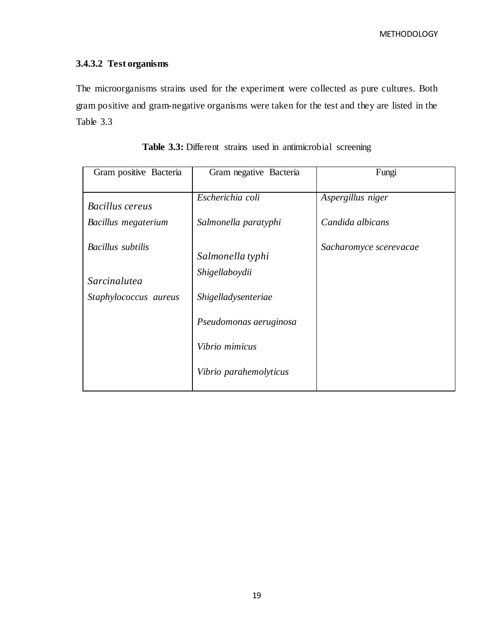# **3.4.3.2 Test organisms**

The microorganisms strains used for the experiment were collected as pure cultures. Both gram positive and gram-negative organisms were taken for the test and they are listed in the Table 3.3

| Gram positive Bacteria | Gram negative Bacteria | Fungi                  |
|------------------------|------------------------|------------------------|
|                        |                        |                        |
|                        |                        |                        |
|                        | Escherichia coli       | Aspergillus niger      |
| <b>Bacillus cereus</b> |                        |                        |
|                        |                        |                        |
| Bacillus megaterium    | Salmonella paratyphi   | Candida albicans       |
|                        |                        |                        |
|                        |                        |                        |
| Bacillus subtilis      |                        | Sacharomyce scerevacae |
|                        | Salmonella typhi       |                        |
|                        |                        |                        |
|                        | Shigellaboydii         |                        |
| Sarcinalutea           |                        |                        |
|                        |                        |                        |
| Staphylococcus aureus  | Shigelladysenteriae    |                        |
|                        |                        |                        |
|                        |                        |                        |
|                        |                        |                        |
|                        | Pseudomonas aeruginosa |                        |
|                        |                        |                        |
|                        |                        |                        |
|                        | Vibrio mimicus         |                        |
|                        |                        |                        |
|                        |                        |                        |
|                        | Vibrio parahemolyticus |                        |
|                        |                        |                        |
|                        |                        |                        |

Table 3.3: Different strains used in antimicrobial screening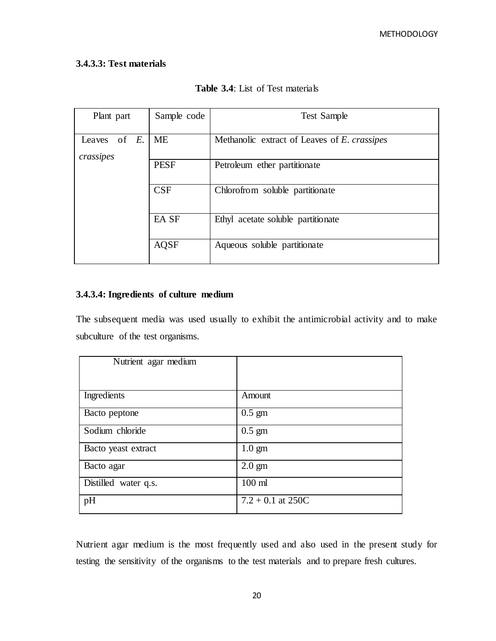# **3.4.3.3: Test materials**

| <b>Table 3.4:</b> List of Test materials |  |
|------------------------------------------|--|
|------------------------------------------|--|

| Plant part                   | Sample code | <b>Test Sample</b>                           |  |  |  |
|------------------------------|-------------|----------------------------------------------|--|--|--|
| Leaves of $E$ .<br>crassipes | <b>ME</b>   | Methanolic extract of Leaves of E. crassipes |  |  |  |
|                              | <b>PESF</b> | Petroleum ether partitionate                 |  |  |  |
|                              | CSF         | Chlorofrom soluble partitionate              |  |  |  |
|                              | EA SF       | Ethyl acetate soluble partitionate           |  |  |  |
|                              | <b>AQSF</b> | Aqueous soluble partitionate                 |  |  |  |

# **3.4.3.4: Ingredients of culture medium**

The subsequent media was used usually to exhibit the antimicrobial activity and to make subculture of the test organisms.

| Nutrient agar medium |                     |
|----------------------|---------------------|
|                      |                     |
|                      |                     |
|                      |                     |
|                      |                     |
| Ingredients          | Amount              |
|                      |                     |
|                      | $0.5 \text{ gm}$    |
| Bacto peptone        |                     |
|                      |                     |
| Sodium chloride      | $0.5 \text{ gm}$    |
|                      |                     |
| Bacto yeast extract  | $1.0 \text{ gm}$    |
|                      |                     |
| Bacto agar           | $2.0$ gm            |
|                      |                     |
|                      |                     |
| Distilled water q.s. | $100$ ml            |
|                      |                     |
| pH                   | $7.2 + 0.1$ at 250C |
|                      |                     |

Nutrient agar medium is the most frequently used and also used in the present study for testing the sensitivity of the organisms to the test materials and to prepare fresh cultures.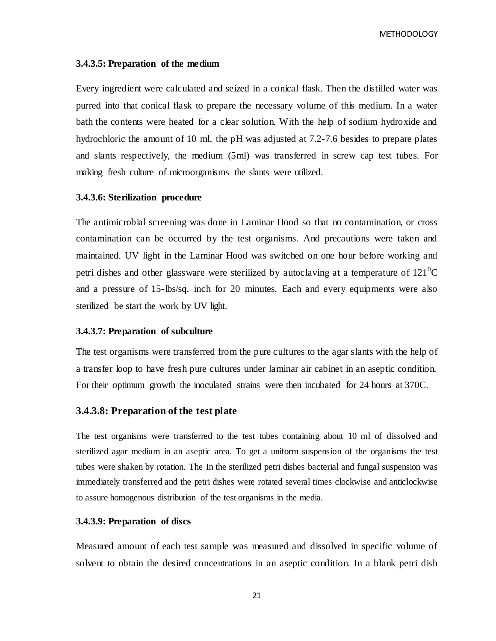#### **3.4.3.5: Preparation of the medium**

Every ingredient were calculated and seized in a conical flask. Then the distilled water was purred into that conical flask to prepare the necessary volume of this medium. In a water bath the contents were heated for a clear solution. With the help of sodium hydroxide and hydrochloric the amount of 10 ml, the pH was adjusted at 7.2-7.6 besides to prepare plates and slants respectively, the medium (5ml) was transferred in screw cap test tubes. For making fresh culture of microorganisms the slants were utilized.

#### **3.4.3.6: Sterilization procedure**

The antimicrobial screening was done in Laminar Hood so that no contamination, or cross contamination can be occurred by the test organisms. And precautions were taken and maintained. UV light in the Laminar Hood was switched on one hour before working and petri dishes and other glassware were sterilized by autoclaving at a temperature of  $121^{\circ}C$ and a pressure of 15-lbs/sq. inch for 20 minutes. Each and every equipments were also sterilized be start the work by UV light.

#### **3.4.3.7: Preparation of subculture**

The test organisms were transferred from the pure cultures to the agar slants with the help of a transfer loop to have fresh pure cultures under laminar air cabinet in an aseptic condition. For their optimum growth the inoculated strains were then incubated for 24 hours at 370C.

#### **3.4.3.8: Preparation of the test plate**

The test organisms were transferred to the test tubes containing about 10 ml of dissolved and sterilized agar medium in an aseptic area. To get a uniform suspension of the organisms the test tubes were shaken by rotation. The In the sterilized petri dishes bacterial and fungal suspension was immediately transferred and the petri dishes were rotated several times clockwise and anticlockwise to assure homogenous distribution of the test organisms in the media.

#### **3.4.3.9: Preparation of discs**

Measured amount of each test sample was measured and dissolved in specific volume of solvent to obtain the desired concentrations in an aseptic condition. In a blank petri dish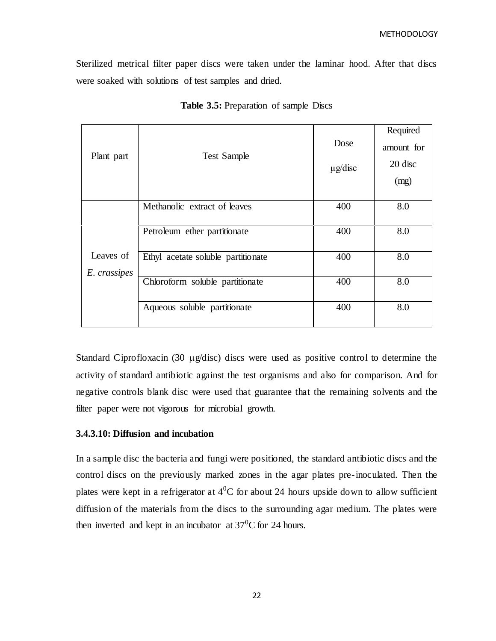Sterilized metrical filter paper discs were taken under the laminar hood. After that discs were soaked with solutions of test samples and dried.

| Plant part                | <b>Test Sample</b>                 | Dose<br>$\mu$ g/disc | Required<br>amount for<br>20 disc<br>(mg) |
|---------------------------|------------------------------------|----------------------|-------------------------------------------|
|                           | Methanolic extract of leaves       | 400                  | 8.0                                       |
|                           | Petroleum ether partitionate       | 400                  | 8.0                                       |
| Leaves of<br>E. crassipes | Ethyl acetate soluble partitionate | 400                  | 8.0                                       |
|                           | Chloroform soluble partitionate    | 400                  | 8.0                                       |
|                           | Aqueous soluble partitionate       | 400                  | 8.0                                       |

**Table 3.5:** Preparation of sample Discs

Standard Ciprofloxacin (30  $\mu$ g/disc) discs were used as positive control to determine the activity of standard antibiotic against the test organisms and also for comparison. And for negative controls blank disc were used that guarantee that the remaining solvents and the filter paper were not vigorous for microbial growth.

#### **3.4.3.10: Diffusion and incubation**

In a sample disc the bacteria and fungi were positioned, the standard antibiotic discs and the control discs on the previously marked zones in the agar plates pre-inoculated. Then the plates were kept in a refrigerator at  $4^0C$  for about 24 hours upside down to allow sufficient diffusion of the materials from the discs to the surrounding agar medium. The plates were then inverted and kept in an incubator at  $37^{\circ}$ C for 24 hours.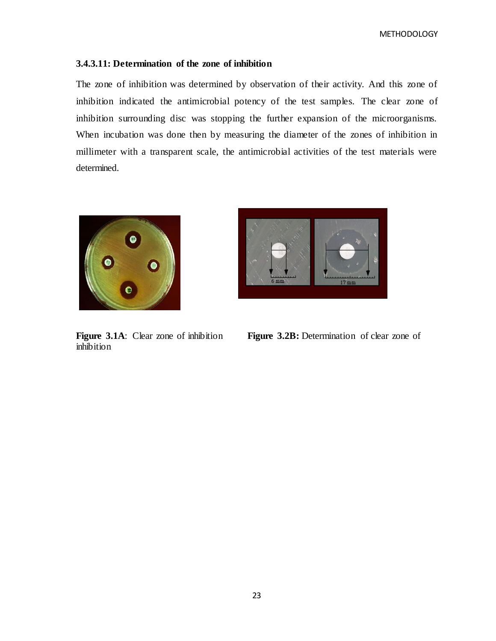### **3.4.3.11: Determination of the zone of inhibition**

The zone of inhibition was determined by observation of their activity. And this zone of inhibition indicated the antimicrobial potency of the test samples. The clear zone of inhibition surrounding disc was stopping the further expansion of the microorganisms. When incubation was done then by measuring the diameter of the zones of inhibition in millimeter with a transparent scale, the antimicrobial activities of the test materials were determined.



inhibition

**Figure 3.1A:** Clear zone of inhibition **Figure 3.2B:** Determination of clear zone of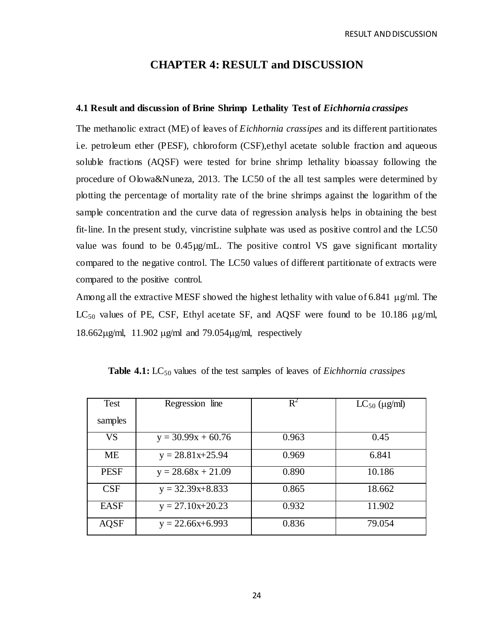# **CHAPTER 4: RESULT and DISCUSSION**

#### **4.1 Result and discussion of Brine Shrimp Lethality Test of** *Eichhornia crassipes*

The methanolic extract (ME) of leaves of *Eichhornia crassipes* and its different partitionates i.e. petroleum ether (PESF), chloroform (CSF),ethyl acetate soluble fraction and aqueous soluble fractions (AQSF) were tested for brine shrimp lethality bioassay following the procedure of Olowa&Nuneza, 2013. The LC50 of the all test samples were determined by plotting the percentage of mortality rate of the brine shrimps against the logarithm of the sample concentration and the curve data of regression analysis helps in obtaining the best fit-line. In the present study, vincristine sulphate was used as positive control and the LC50 value was found to be  $0.45\mu g/mL$ . The positive control VS gave significant mortality compared to the negative control. The LC50 values of different partitionate of extracts were compared to the positive control.

Among all the extractive MESF showed the highest lethality with value of 6.841  $\mu$ g/ml. The LC<sub>50</sub> values of PE, CSF, Ethyl acetate SF, and AQSF were found to be 10.186  $\mu$ g/ml, 18.662 $\mu$ g/ml, 11.902  $\mu$ g/ml and 79.054 $\mu$ g/ml, respectively

| Test        | Regression line      | $\overline{\mathsf{R}}^2$ | $LC_{50}$ ( $\mu$ g/ml) |
|-------------|----------------------|---------------------------|-------------------------|
| samples     |                      |                           |                         |
| <b>VS</b>   | $y = 30.99x + 60.76$ | 0.963                     | 0.45                    |
| МE          | $y = 28.81x + 25.94$ | 0.969                     | 6.841                   |
| <b>PESF</b> | $y = 28.68x + 21.09$ | 0.890                     | 10.186                  |
| <b>CSF</b>  | $y = 32.39x + 8.833$ | 0.865                     | 18.662                  |
| <b>EASF</b> | $y = 27.10x + 20.23$ | 0.932                     | 11.902                  |
| AQSF        | $y = 22.66x+6.993$   | 0.836                     | 79.054                  |

**Table 4.1:** LC<sub>50</sub> values of the test samples of leaves of *Eichhornia crassipes*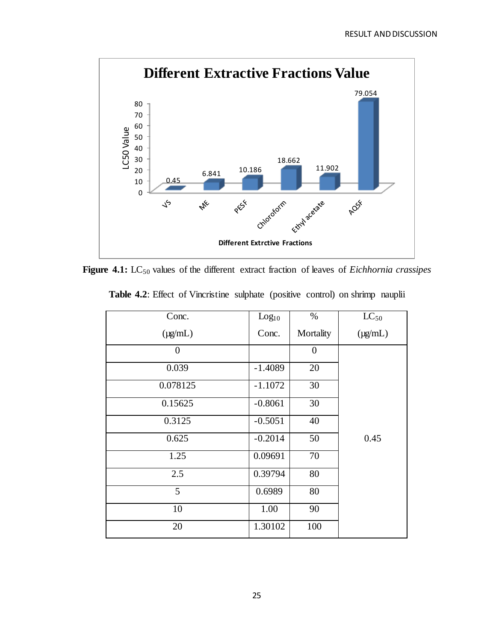

Figure 4.1: LC<sub>50</sub> values of the different extract fraction of leaves of *Eichhornia crassipes* 

| Conc.          | Log <sub>10</sub> | %                | $LC_{50}$    |
|----------------|-------------------|------------------|--------------|
| $(\mu g/mL)$   | Conc.             | Mortality        | $(\mu g/mL)$ |
| $\overline{0}$ |                   | $\boldsymbol{0}$ |              |
| 0.039          | $-1.4089$         | 20               |              |
| 0.078125       | $-1.1072$         | 30               |              |
| 0.15625        | $-0.8061$         | 30               |              |
| 0.3125         | $-0.5051$         | 40               |              |
| 0.625          | $-0.2014$         | 50               | 0.45         |
| 1.25           | 0.09691           | 70               |              |
| 2.5            | 0.39794           | $80\,$           |              |
| 5              | 0.6989            | 80               |              |
| 10             | 1.00              | 90               |              |
| 20             | 1.30102           | 100              |              |

**Table 4.2**: Effect of Vincristine sulphate (positive control) on shrimp nauplii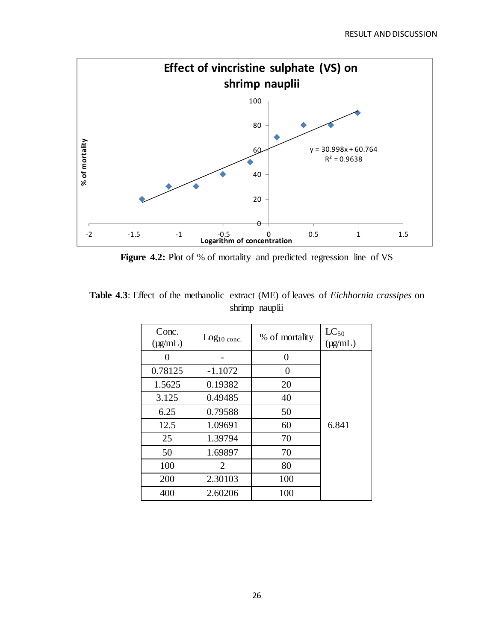

Figure 4.2: Plot of % of mortality and predicted regression line of VS

| <b>Table 4.3</b> : Effect of the methanolic extract (ME) of leaves of <i>Eichhornia crassipes</i> on |  |                |  |  |
|------------------------------------------------------------------------------------------------------|--|----------------|--|--|
|                                                                                                      |  | shrimp nauplii |  |  |

| Conc.<br>$(\mu g/mL)$ | $Log10$ conc.               | % of mortality | $LC_{50}$<br>$(\mu\alpha/\text{mL})$ |
|-----------------------|-----------------------------|----------------|--------------------------------------|
| ∩                     |                             | 0              |                                      |
| 0.78125               | $-1.1072$                   | 0              |                                      |
| 1.5625                | 0.19382                     | 20             |                                      |
| 3.125                 | 0.49485                     | 40             |                                      |
| 6.25                  | 0.79588                     | 50             |                                      |
| 12.5                  | 1.09691                     | 60             | 6.841                                |
| 25                    | 1.39794                     | 70             |                                      |
| 50                    | 1.69897                     | 70             |                                      |
| 100                   | $\mathcal{D}_{\mathcal{L}}$ | 80             |                                      |
| 200                   | 2.30103                     | 100            |                                      |
| 400                   | 2.60206                     | 100            |                                      |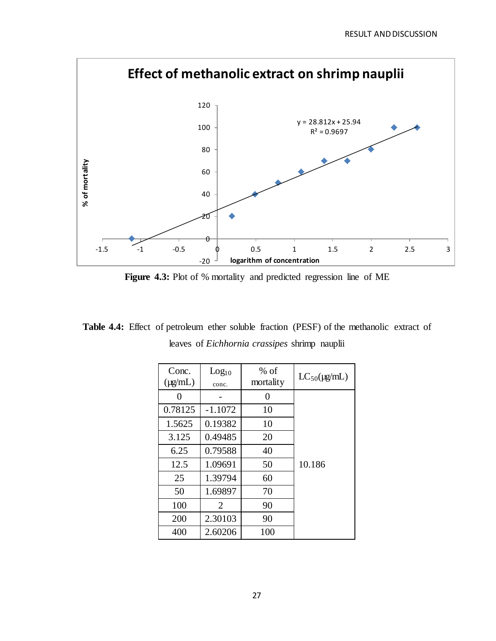

Figure 4.3: Plot of % mortality and predicted regression line of ME

**Table 4.4:** Effect of petroleum ether soluble fraction (PESF) of the methanolic extract of leaves of *Eichhornia crassipes* shrimp nauplii

| Conc.<br>$(\mu g/mL)$ | Log <sub>10</sub><br>conc. | $%$ of<br>mortality | $LC_{50}(\mu\text{g/mL})$ |
|-----------------------|----------------------------|---------------------|---------------------------|
| 0                     |                            | 0                   |                           |
| 0.78125               | $-1.1072$                  | 10                  |                           |
| 1.5625                | 0.19382                    | 10                  |                           |
| 3.125                 | 0.49485                    | 20                  |                           |
| 6.25                  | 0.79588                    | 40                  |                           |
| 12.5                  | 1.09691                    | 50                  | 10.186                    |
| 25                    | 1.39794                    | 60                  |                           |
| 50                    | 1.69897                    | 70                  |                           |
| 100                   | 2                          | 90                  |                           |
| 200                   | 2.30103                    | 90                  |                           |
| 400                   | 2.60206                    | 100                 |                           |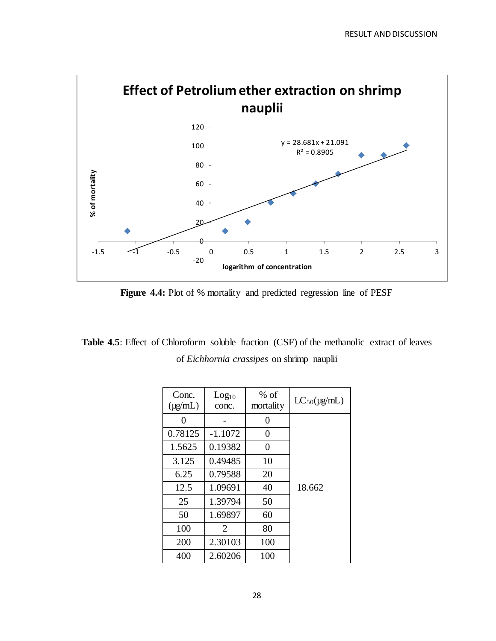

**Figure 4.4:** Plot of % mortality and predicted regression line of PESF

Table 4.5: Effect of Chloroform soluble fraction (CSF) of the methanolic extract of leaves of *Eichhornia crassipes* on shrimp nauplii

| Conc.<br>$(\mu\alpha/\text{mL})$ | Log <sub>10</sub><br>conc. | $%$ of<br>mortality | $LC_{50}(\mu\text{g/mL})$ |
|----------------------------------|----------------------------|---------------------|---------------------------|
| 0                                |                            | 0                   |                           |
| 0.78125                          | $-1.1072$                  | 0                   |                           |
| 1.5625                           | 0.19382                    | 0                   |                           |
| 3.125                            | 0.49485                    | 10                  |                           |
| 6.25                             | 0.79588                    | 20                  |                           |
| 12.5                             | 1.09691                    | 40                  | 18.662                    |
| 25                               | 1.39794                    | 50                  |                           |
| 50                               | 1.69897                    | 60                  |                           |
| 100                              | 2                          | 80                  |                           |
| 200                              | 2.30103                    | 100                 |                           |
| 400                              | 2.60206                    | 100                 |                           |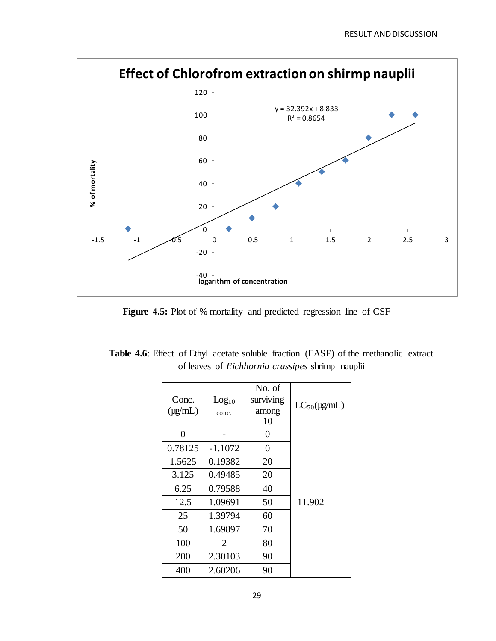

Figure 4.5: Plot of % mortality and predicted regression line of CSF

| <b>Table 4.6:</b> Effect of Ethyl acetate soluble fraction (EASF) of the methanolic extract |                                                         |  |  |  |
|---------------------------------------------------------------------------------------------|---------------------------------------------------------|--|--|--|
|                                                                                             | of leaves of <i>Eichhornia crassipes</i> shrimp nauplii |  |  |  |

| Conc.<br>$(\mu g/mL)$ | Log <sub>10</sub><br>conc. | No. of<br>surviving<br>among<br>10 | $LC_{50}(\mu g/mL)$ |
|-----------------------|----------------------------|------------------------------------|---------------------|
| 0                     |                            | 0                                  |                     |
| 0.78125               | $-1.1072$                  | 0                                  |                     |
| 1.5625                | 0.19382                    | 20                                 |                     |
| 3.125                 | 0.49485                    | 20                                 |                     |
| 6.25                  | 0.79588                    | 40                                 |                     |
| 12.5                  | 1.09691                    | 50                                 | 11.902              |
| 25                    | 1.39794                    | 60                                 |                     |
| 50                    | 1.69897                    | 70                                 |                     |
| 100                   | $\mathcal{D}_{\cdot}$      | 80                                 |                     |
| 200                   | 2.30103                    | 90                                 |                     |
| 400                   | 2.60206                    | 90                                 |                     |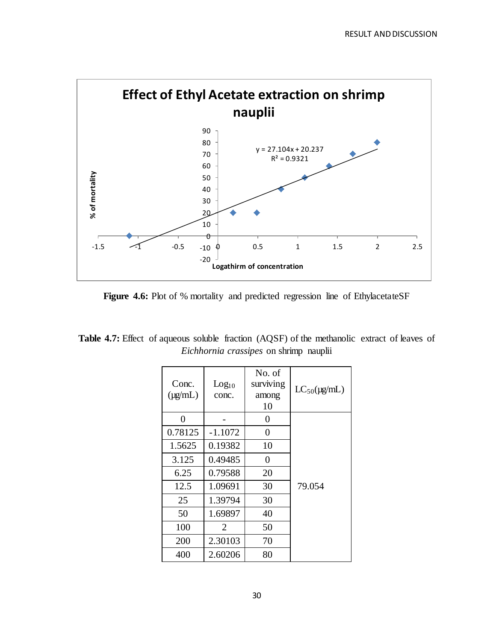

Figure 4.6: Plot of % mortality and predicted regression line of EthylacetateSF

|                                               | <b>Table 4.7:</b> Effect of aqueous soluble fraction (AQSF) of the methanolic extract of leaves of |  |  |  |  |  |  |
|-----------------------------------------------|----------------------------------------------------------------------------------------------------|--|--|--|--|--|--|
| <i>Eichhornia crassipes</i> on shrimp nauplii |                                                                                                    |  |  |  |  |  |  |

| Conc.<br>$(\mu\alpha/\text{mL})$ | Log <sub>10</sub><br>conc. | No. of<br>surviving<br>among<br>10 | $LC_{50}(\mu g/mL)$ |
|----------------------------------|----------------------------|------------------------------------|---------------------|
| 0                                |                            | 0                                  |                     |
| 0.78125                          | $-1.1072$                  | $\boldsymbol{0}$                   |                     |
| 1.5625                           | 0.19382                    | 10                                 |                     |
| 3.125                            | 0.49485                    | $\overline{0}$                     |                     |
| 6.25                             | 0.79588                    | 20                                 |                     |
| 12.5                             | 1.09691                    | 30                                 | 79.054              |
| 25                               | 1.39794                    | 30                                 |                     |
| 50                               | 1.69897                    | 40                                 |                     |
| 100                              | 2                          | 50                                 |                     |
| 200                              | 2.30103                    | 70                                 |                     |
| 400                              | 2.60206                    | 80                                 |                     |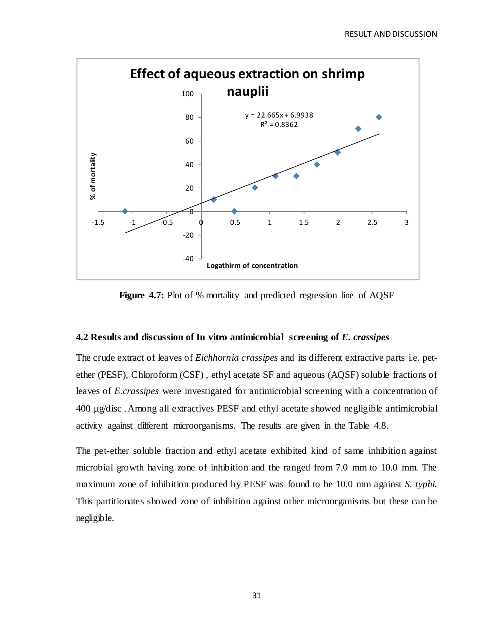

**Figure 4.7:** Plot of % mortality and predicted regression line of AQSF

#### **4.2 Results and discussion of In vitro antimicrobial screening of** *E. crassipes*

The crude extract of leaves of *Eichhornia crassipes* and its different extractive parts i.e. petether (PESF), Chloroform (CSF) , ethyl acetate SF and aqueous (AQSF) soluble fractions of leaves of *E.crassipes* were investigated for antimicrobial screening with a concentration of 400 g/disc .Among all extractives PESF and ethyl acetate showed negligible antimicrobial activity against different microorganisms. The results are given in the Table 4.8.

The pet-ether soluble fraction and ethyl acetate exhibited kind of same inhibition against microbial growth having zone of inhibition and the ranged from 7.0 mm to 10.0 mm. The maximum zone of inhibition produced by PESF was found to be 10.0 mm against *S. typhi.*  This partitionates showed zone of inhibition against other microorganisms but these can be negligible.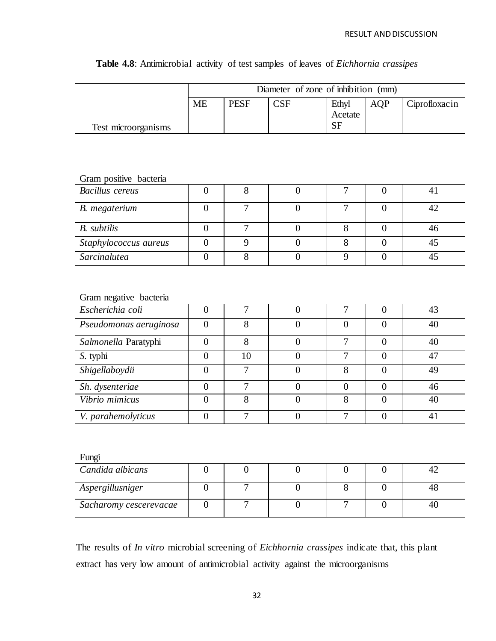|                        | Diameter of zone of inhibition (mm) |                |                  |                               |                  |               |  |  |
|------------------------|-------------------------------------|----------------|------------------|-------------------------------|------------------|---------------|--|--|
|                        | <b>ME</b>                           | <b>PESF</b>    | <b>CSF</b>       | Ethyl<br>Acetate<br><b>SF</b> | <b>AQP</b>       | Ciprofloxacin |  |  |
| Test microorganisms    |                                     |                |                  |                               |                  |               |  |  |
|                        |                                     |                |                  |                               |                  |               |  |  |
| Gram positive bacteria |                                     |                |                  |                               |                  |               |  |  |
| <b>Bacillus</b> cereus | $\boldsymbol{0}$                    | 8              | $\boldsymbol{0}$ | $\overline{7}$                | $\overline{0}$   | 41            |  |  |
| B. megaterium          | $\overline{0}$                      | $\overline{7}$ | $\overline{0}$   | $\overline{7}$                | $\overline{0}$   | 42            |  |  |
| <b>B.</b> subtilis     | $\overline{0}$                      | $\overline{7}$ | $\boldsymbol{0}$ | 8                             | $\overline{0}$   | 46            |  |  |
| Staphylococcus aureus  | $\overline{0}$                      | 9              | $\overline{0}$   | 8                             | $\overline{0}$   | 45            |  |  |
| Sarcinalutea           | $\boldsymbol{0}$                    | 8              | $\overline{0}$   | 9                             | $\overline{0}$   | 45            |  |  |
| Gram negative bacteria |                                     |                |                  |                               |                  |               |  |  |
| Escherichia coli       | $\mathbf{0}$                        | $\overline{7}$ | $\overline{0}$   | $\overline{7}$                | $\overline{0}$   | 43            |  |  |
| Pseudomonas aeruginosa | $\mathbf{0}$                        | 8              | $\overline{0}$   | $\overline{0}$                | $\overline{0}$   | 40            |  |  |
| Salmonella Paratyphi   | $\boldsymbol{0}$                    | 8              | $\overline{0}$   | $\overline{7}$                | $\boldsymbol{0}$ | 40            |  |  |
| S. typhi               | $\boldsymbol{0}$                    | 10             | $\boldsymbol{0}$ | $\overline{7}$                | $\overline{0}$   | 47            |  |  |
| Shigellaboydii         | $\boldsymbol{0}$                    | $\overline{7}$ | $\overline{0}$   | 8                             | $\overline{0}$   | 49            |  |  |
| Sh. dysenteriae        | $\boldsymbol{0}$                    | $\overline{7}$ | $\overline{0}$   | $\overline{0}$                | $\overline{0}$   | 46            |  |  |
| Vibrio mimicus         | $\boldsymbol{0}$                    | 8              | $\boldsymbol{0}$ | 8                             | $\overline{0}$   | 40            |  |  |
| V. parahemolyticus     | $\boldsymbol{0}$                    | $\overline{7}$ | $\overline{0}$   | $\overline{7}$                | $\overline{0}$   | 41            |  |  |
| Fungi                  |                                     |                |                  |                               |                  |               |  |  |
| Candida albicans       | $\boldsymbol{0}$                    | $\overline{0}$ | $\overline{0}$   | $\boldsymbol{0}$              | $\overline{0}$   | 42            |  |  |
| Aspergillusniger       | $\boldsymbol{0}$                    | $\overline{7}$ | $\boldsymbol{0}$ | 8                             | $\boldsymbol{0}$ | 48            |  |  |
| Sacharomy cescerevacae | $\boldsymbol{0}$                    | $\overline{7}$ | $\overline{0}$   | $\overline{7}$                | $\overline{0}$   | 40            |  |  |

# **Table 4.8**: Antimicrobial activity of test samples of leaves of *Eichhornia crassipes*

The results of *In vitro* microbial screening of *Eichhornia crassipes* indicate that, this plant extract has very low amount of antimicrobial activity against the microorganisms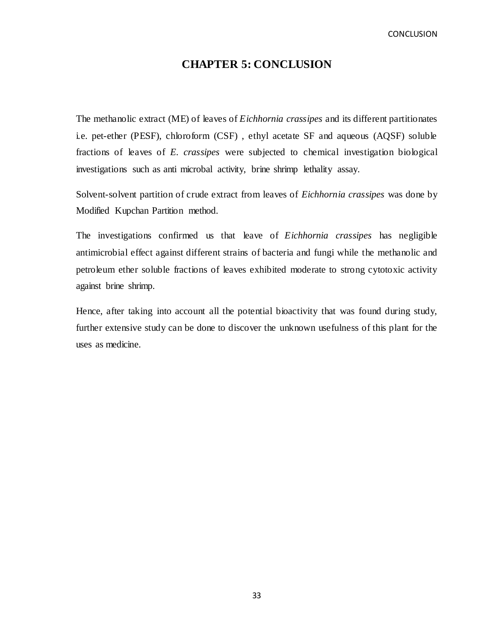**CONCLUSION** 

# **CHAPTER 5: CONCLUSION**

The methanolic extract (ME) of leaves of *Eichhornia crassipes* and its different partitionates i.e. pet-ether (PESF), chloroform (CSF) , ethyl acetate SF and aqueous (AQSF) soluble fractions of leaves of *E. crassipes* were subjected to chemical investigation biological investigations such as anti microbal activity, brine shrimp lethality assay.

Solvent-solvent partition of crude extract from leaves of *Eichhornia crassipes* was done by Modified Kupchan Partition method.

The investigations confirmed us that leave of *Eichhornia crassipes* has negligible antimicrobial effect against different strains of bacteria and fungi while the methanolic and petroleum ether soluble fractions of leaves exhibited moderate to strong cytotoxic activity against brine shrimp.

Hence, after taking into account all the potential bioactivity that was found during study, further extensive study can be done to discover the unknown usefulness of this plant for the uses as medicine.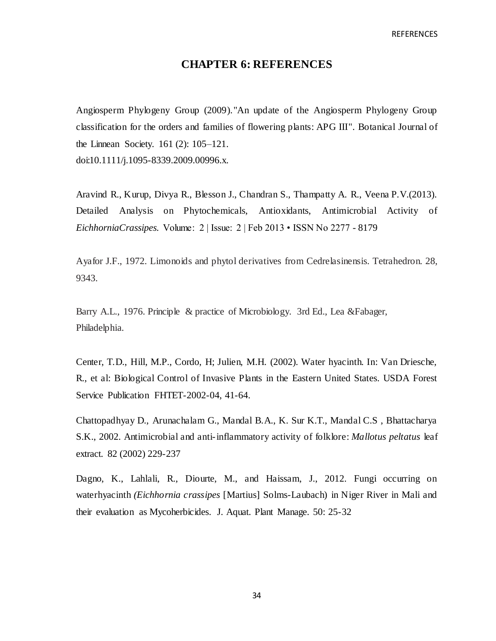# **CHAPTER 6: REFERENCES**

Angiosperm Phylogeny Group (2009)[."An update of the Angiosperm Phylogeny Group](http://www3.interscience.wiley.com/journal/122630309/abstract)  [classification for the orders and families of flowering plants: APG III"](http://www3.interscience.wiley.com/journal/122630309/abstract)*.* Botanical Journal of the Linnean Society. 161 (2): 105–121. [doi:](https://en.wikipedia.org/wiki/Digital_object_identifier)[10.1111/j.1095-8339.2009.00996.x.](https://dx.doi.org/10.1111%2Fj.1095-8339.2009.00996.x) 

Aravind R., Kurup, Divya R., Blesson J., Chandran S., Thampatty A. R., Veena P.V.(2013). Detailed Analysis on Phytochemicals, Antioxidants, Antimicrobial Activity of *EichhorniaCrassipes.* Volume: 2 | Issue: 2 | Feb 2013 • ISSN No 2277 - 8179

Ayafor J.F., 1972. Limonoids and phytol derivatives from Cedrelasinensis. Tetrahedron. 28, 9343.

Barry A.L., 1976. Principle & practice of Microbiology. 3rd Ed., Lea &Fabager, Philadelphia.

Center, T.D., Hill, M.P., Cordo, H; Julien, M.H. (2002). Water hyacinth. In: Van Driesche, R., et al: Biological Control of Invasive Plants in the Eastern United States. USDA Forest Service Publication FHTET-2002-04, 41-64.

Chattopadhyay D., Arunachalam G., Mandal B.A., K. Sur K.T., Mandal C.S , Bhattacharya S.K., 2002. Antimicrobial and anti-inflammatory activity of folklore: *Mallotus peltatus* leaf extract. 82 (2002) 229-237

Dagno, K., Lahlali, R., Diourte, M., and Haissam, J., 2012. Fungi occurring on waterhyacinth *(Eichhornia crassipes* [Martius] Solms-Laubach) in Niger River in Mali and their evaluation as Mycoherbicides. J. Aquat. Plant Manage. 50: 25-32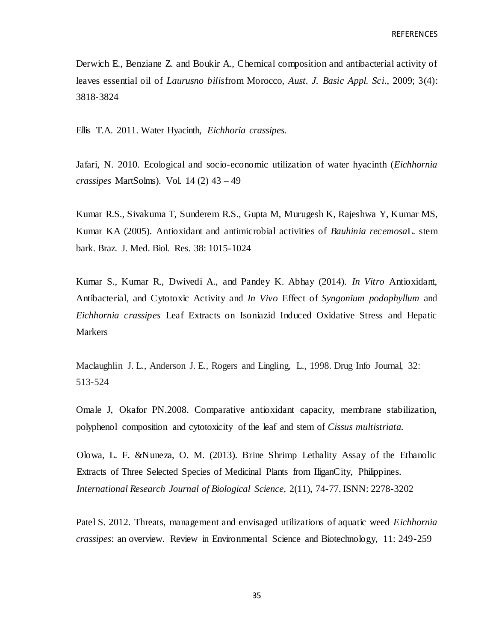Derwich E., Benziane Z. and Boukir A., Chemical composition and antibacterial activity of leaves essential oil of *Laurusno bilis*from Morocco, *Aust. J. Basic Appl. Sci*., 2009; 3(4): 3818-3824

Ellis T.A. 2011. Water Hyacinth, *Eichhoria crassipes.*

Jafari, N. 2010. Ecological and socio-economic utilization of water hyacinth (*Eichhornia crassipes* MartSolms). Vol. 14 (2) 43 – 49

Kumar R.S., Sivakuma T, Sunderem R.S., Gupta M, Murugesh K, Rajeshwa Y, Kumar MS, Kumar KA (2005). Antioxidant and antimicrobial activities of *Bauhinia recemosa*L. stem bark. Braz. J. Med. Biol. Res. 38: 1015-1024

Kumar S., Kumar R., Dwivedi A., and Pandey K. Abhay (2014). *In Vitro* Antioxidant, Antibacterial, and Cytotoxic Activity and *In Vivo* Effect of *Syngonium podophyllum* and *Eichhornia crassipes* Leaf Extracts on Isoniazid Induced Oxidative Stress and Hepatic Markers

Maclaughlin J. L., Anderson J. E., Rogers and Lingling, L., 1998. Drug Info Journal, 32: 513-524

Omale J, Okafor PN.2008. Comparative antioxidant capacity, membrane stabilization, polyphenol composition and cytotoxicity of the leaf and stem of *Cissus multistriata.*

Olowa, L. F. &Nuneza, O. M. (2013). Brine Shrimp Lethality Assay of the Ethanolic Extracts of Three Selected Species of Medicinal Plants from IliganCity, Philippines. *International Research Journal of Biological Science,* 2(11), 74-77. ISNN: 2278-3202

Patel S. 2012. Threats, management and envisaged utilizations of aquatic weed *Eichhornia crassipes*: an overview. Review in Environmental Science and Biotechnology, 11: 249-259